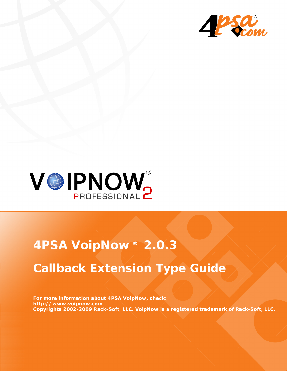



# **4PSA VoipNow ® 2.0.3**

# **Callback Extension Type Guide**

**For more information about 4PSA VoipNow, check: http://www.voipnow.com Copyrights 2002-2009 Rack-Soft, LLC. VoipNow is a registered trademark of Rack-Soft, LLC.**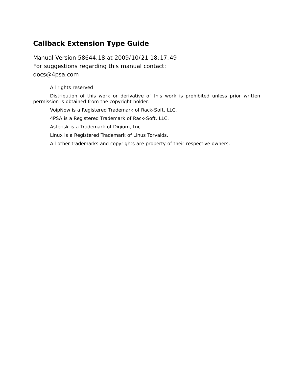### **Callback Extension Type Guide**

Manual Version 58644.18 at 2009/10/21 18:17:49 For suggestions regarding this manual contact: docs@4psa.com

#### All rights reserved

Distribution of this work or derivative of this work is prohibited unless prior written permission is obtained from the copyright holder.

VoipNow is a Registered Trademark of Rack-Soft, LLC.

4PSA is a Registered Trademark of Rack-Soft, LLC.

Asterisk is a Trademark of Digium, Inc.

Linux is a Registered Trademark of Linus Torvalds.

All other trademarks and copyrights are property of their respective owners.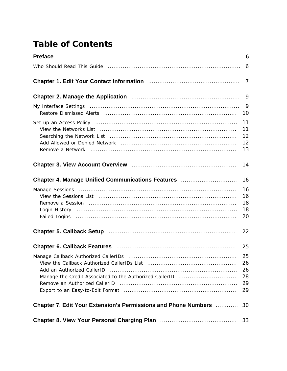## **Table of Contents**

|                                                                                                                                                                                                                                                              | 6                                  |
|--------------------------------------------------------------------------------------------------------------------------------------------------------------------------------------------------------------------------------------------------------------|------------------------------------|
|                                                                                                                                                                                                                                                              | 7                                  |
|                                                                                                                                                                                                                                                              | 9                                  |
|                                                                                                                                                                                                                                                              | 9<br>10                            |
|                                                                                                                                                                                                                                                              | 11<br>11<br>12<br>12<br>13         |
|                                                                                                                                                                                                                                                              | 14                                 |
| Chapter 4. Manage Unified Communications Features                                                                                                                                                                                                            | 16                                 |
| View the Sessions List (all the continuum continuum control of the sessions of the sessions of the continuum c                                                                                                                                               | 16<br>16<br>18<br>18<br>20         |
|                                                                                                                                                                                                                                                              | 22                                 |
|                                                                                                                                                                                                                                                              | 25                                 |
| Add an Authorized CallerID<br>Remove an Authorized CallerID (and according to the annual state of an Authorized CallerID (and according to the state of an according to the Remote and Authorized CallerID (and according to the state of the Remote and Aut | 25<br>- 26<br>26<br>28<br>29<br>29 |
| <b>Chapter 7. Edit Your Extension's Permissions and Phone Numbers </b>                                                                                                                                                                                       | 30                                 |
|                                                                                                                                                                                                                                                              | 33                                 |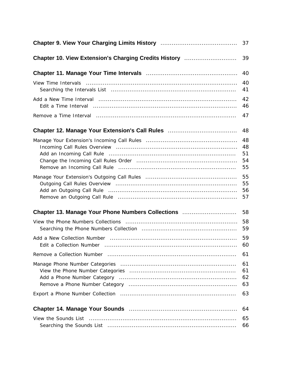|                                                                                                               | 37                         |
|---------------------------------------------------------------------------------------------------------------|----------------------------|
| Chapter 10. View Extension's Charging Credits History                                                         | 39                         |
|                                                                                                               | 40                         |
|                                                                                                               | 40<br>41                   |
|                                                                                                               | 42<br>46                   |
|                                                                                                               | 47                         |
| Chapter 12. Manage Your Extension's Call Rules <b>Constant Chapter 12. Manage Your Extension's Call Rules</b> | 48                         |
|                                                                                                               | 48<br>48<br>51<br>54<br>55 |
|                                                                                                               | 55<br>55<br>56<br>57       |
| Chapter 13. Manage Your Phone Numbers Collections                                                             | 58                         |
|                                                                                                               | 58<br>59                   |
|                                                                                                               | 59<br>60                   |
|                                                                                                               | 61                         |
|                                                                                                               | 61<br>61<br>62<br>63       |
|                                                                                                               | 63                         |
|                                                                                                               | 64                         |
|                                                                                                               | 65<br>66                   |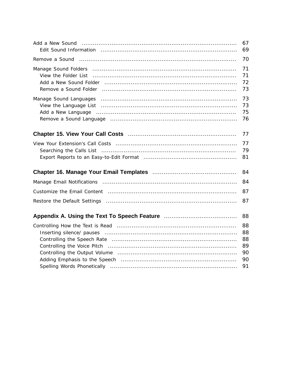|                                                                                                                        | 67<br>69                               |
|------------------------------------------------------------------------------------------------------------------------|----------------------------------------|
|                                                                                                                        | 70                                     |
| Remove a Sound Folder (and according continuum control of a Sound Folder (and according control of a Sound Fold        | 71<br>71<br>72<br>73                   |
| Manage Sound Languages (and according continuum and according to Manage Sound Languages (and according continuum)      | 73<br>73<br>75<br>76                   |
|                                                                                                                        | 77                                     |
|                                                                                                                        | 77<br>79<br>81                         |
|                                                                                                                        | 84                                     |
|                                                                                                                        | 84                                     |
|                                                                                                                        | 87                                     |
|                                                                                                                        | 87                                     |
| Appendix A. Using the Text To Speech Feature <b>Communisher Appendix A.</b> Using the Text To Speech Feature Communism | 88                                     |
|                                                                                                                        | 88<br>88<br>88<br>89<br>90<br>90<br>91 |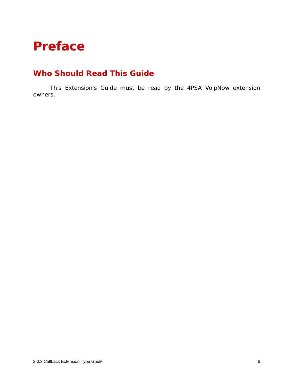# <span id="page-5-1"></span><span id="page-5-0"></span>**Preface**

### **Who Should Read This Guide**

This Extension's Guide must be read by the 4PSA VoipNow extension owners.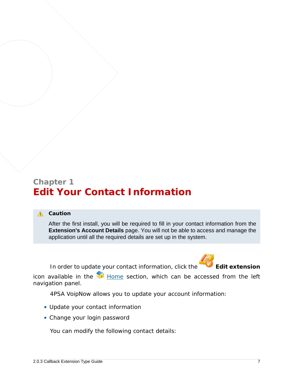### <span id="page-6-0"></span>**Chapter 1 Edit Your Contact Information**

#### **A** Caution

After the first install, you will be required to fill in your contact information from the **Extension's Account Details** page. You will not be able to access and manage the application until all the required details are set up in the system.

In order to update your contact information, click the **Edit extension** 



icon available in the  $\blacksquare$  Home section, which can be accessed from the left navigation panel.

4PSA VoipNow allows you to update your account information:

- Update your contact information
- Change your login password

You can modify the following contact details: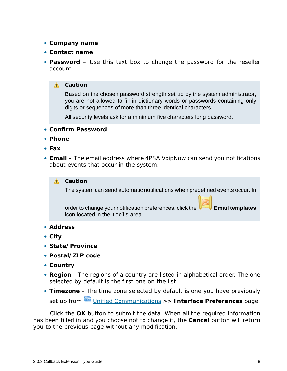- **Company name**
- **Contact name**
- **Password** Use this text box to change the password for the reseller account.
	- **A** Caution

Based on the chosen password strength set up by the system administrator, you are not allowed to fill in dictionary words or passwords containing only digits or sequences of more than three identical characters.

All security levels ask for a minimum five characters long password.

- **Confirm Password**
- **Phone**
- **Fax**
- **Email** The email address where 4PSA VoipNow can send you notifications about events that occur in the system.

#### **A** Caution

The system can send automatic notifications when predefined events occur. In

order to change your notification preferences, click the **Email templates** icon located in the Tools area.

- **Address**
- **City**
- **State/Province**
- **Postal/ZIP code**
- **Country**
- **Region** The regions of a country are listed in alphabetical order. The one selected by default is the first one on the list.
- **Timezone** The time zone selected by default is one you have previously set up from **Unified Communications >>** Interface Preferences page.

Click the **OK** button to submit the data. When all the required information has been filled in and you choose not to change it, the **Cancel** button will return you to the previous page without any modification.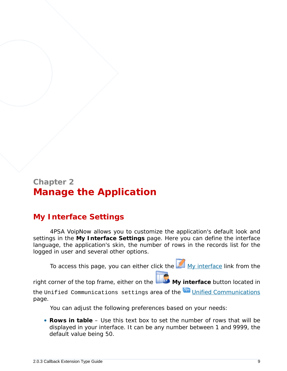### <span id="page-8-0"></span>**Chapter 2 Manage the Application**

### <span id="page-8-1"></span>**My Interface Settings**

4PSA VoipNow allows you to customize the application's default look and settings in the **My Interface Settings** page. Here you can define the interface language, the application's skin, the number of rows in the records list for the logged in user and several other options.

To access this page, you can either click the My interface link from the

right corner of the top frame, either on the **My interface** button located in

the Unified Communications settings area of the Unified Communications page.

You can adjust the following preferences based on your needs:

• **Rows in table** – Use this text box to set the number of rows that will be displayed in your interface. It can be any number between 1 and 9999, the default value being 50.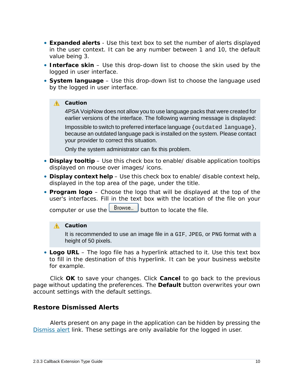- **Expanded alerts** Use this text box to set the number of alerts displayed in the user context. It can be any number between 1 and 10, the default value being 3.
- **Interface skin** Use this drop-down list to choose the skin used by the logged in user interface.
- **System language** Use this drop-down list to choose the language used by the logged in user interface.

#### **A** Caution

4PSA VoipNow does not allow you to use language packs that were created for earlier versions of the interface. The following warning message is displayed:

Impossible to switch to preferred interface language {outdated language}, because an outdated language pack is installed on the system. Please contact your provider to correct this situation.

Only the system administrator can fix this problem.

- **Display tooltip** Use this check box to enable/ disable application tooltips displayed on mouse over images/ icons.
- **Display context help** Use this check box to enable/ disable context help, displayed in the top area of the page, under the title.
- **Program logo** Choose the logo that will be displayed at the top of the user's interfaces. Fill in the text box with the location of the file on your

computer or use the  $\Box$  button to locate the file.

#### **A** Caution

It is recommended to use an image file in a GIF, JPEG, or PNG format with a height of 50 pixels.

• **Logo URL** – The logo file has a hyperlink attached to it. Use this text box to fill in the destination of this hyperlink. It can be your business website for example.

Click **OK** to save your changes. Click **Cancel** to go back to the previous page without updating the preferences. The **Default** button overwrites your own account settings with the default settings.

#### <span id="page-9-0"></span>**Restore Dismissed Alerts**

Alerts present on any page in the application can be hidden by pressing the Dismiss alert link. These settings are only available for the logged in user.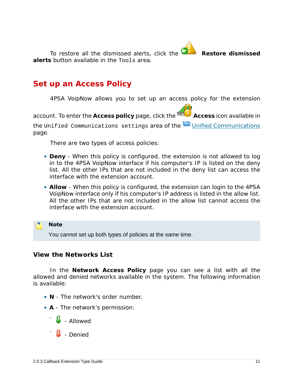To restore all the dismissed alerts, click the **Restore dismissed alerts** button available in the Tools area.

### <span id="page-10-0"></span>**Set up an Access Policy**

4PSA VoipNow allows you to set up an access policy for the extension

account. To enter the Access policy page, click the **Access** icon available in

the Unified Communications settings area of the Unified Communications page.

There are two types of access policies:

- **Deny** When this policy is configured, the extension is not allowed to log in to the 4PSA VoipNow interface if his computer's IP is listed on the deny list. All the other IPs that are not included in the deny list *can* access the interface with the extension account.
- **Allow** When this policy is configured, the extension can login to the 4PSA VoipNow interface only if his computer's IP address is listed in the allow list. All the other IPs that are not included in the allow list *cannot* access the interface with the extension account.

**Note** You cannot set up both types of policies at the same time.

<span id="page-10-1"></span>**View the Networks List**

In the **Network Access Policy** page you can see a list with all the allowed and denied networks available in the system. The following information is available:

- **N** The network's order number.
- **A** The network's permission:
	- $\frac{1}{2}$  Allowed
	- $\frac{1}{2}$  - Denied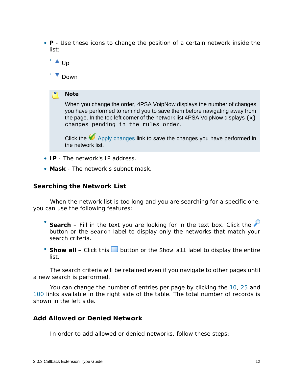- **P** Use these icons to change the position of a certain network inside the list:
	- ° ▲ Up

◦

**Down** 

**Note**

When you change the order, 4PSA VoipNow displays the number of changes you have performed to remind you to save them before navigating away from the page. In the top left corner of the network list 4PSA VoipNow displays  $\{x\}$ changes pending in the rules order.

Click the  $\blacktriangledown$  Apply changes link to save the changes you have performed in the network list.

- **IP** The network's IP address.
- **Mask** The network's subnet mask.

<span id="page-11-0"></span>**Searching the Network List**

When the network list is too long and you are searching for a specific one, you can use the following features:

- Search – Fill in the text you are looking for in the text box. Click the button or the Search label to display only the networks that match your search criteria.
- Show all Click this **in** button or the Show all label to display the entire list.

The search criteria will be retained even if you navigate to other pages until a new search is performed.

You can change the number of entries per page by clicking the 10, 25 and 100 links available in the right side of the table. The total number of records is shown in the left side.

<span id="page-11-1"></span>**Add Allowed or Denied Network**

In order to add allowed or denied networks, follow these steps: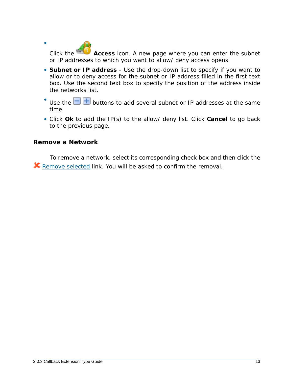Click the **Access** icon. A new page where you can enter the subnet or IP addresses to which you want to allow/ deny access opens.

- **Subnet or IP address** Use the drop-down list to specify if you want to allow or to deny access for the subnet or IP address filled in the first text box. Use the second text box to specify the position of the address inside the networks list.
- Use the  $\Box$  buttons to add several subnet or IP addresses at the same time.
- Click **Ok** to add the IP(s) to the allow/ deny list. Click **Cancel** to go back to the previous page.

<span id="page-12-0"></span>**Remove a Network**

•

To remove a network, select its corresponding check box and then click the **K** Remove selected link. You will be asked to confirm the removal.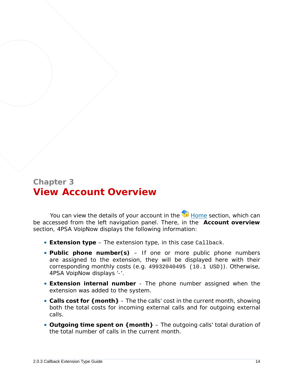### <span id="page-13-0"></span>**Chapter 3 View Account Overview**

You can view the details of your account in the  $\blacksquare$  Home section, which can be accessed from the left navigation panel. There, in the **Account overview** section, 4PSA VoipNow displays the following information:

- **Extension type** The extension type, in this case Callback.
- **Public phone number(s)** If one or more public phone numbers are assigned to the extension, they will be displayed here with their corresponding monthly costs (e.g. 49932040495 (10.1 USD)). Otherwise, 4PSA VoipNow displays '-'.
- **Extension internal number** The phone number assigned when the extension was added to the system.
- **Calls cost for {month}** The the calls' cost in the current month, showing both the total costs for incoming external calls and for outgoing external calls.
- **Outgoing time spent on {month}** The outgoing calls' total duration of the total number of calls in the current month.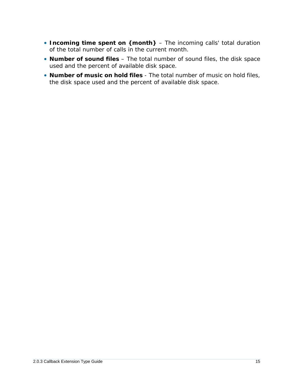- **Incoming time spent on {month}** The incoming calls' total duration of the total number of calls in the current month.
- **Number of sound files** The total number of sound files, the disk space used and the percent of available disk space.
- **Number of music on hold files** The total number of music on hold files, the disk space used and the percent of available disk space.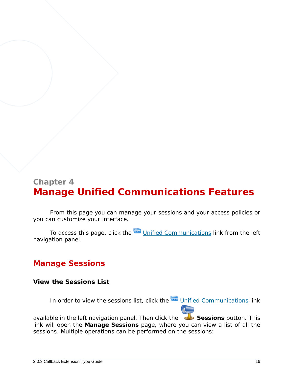### <span id="page-15-0"></span>**Chapter 4 Manage Unified Communications Features**

From this page you can manage your sessions and your access policies or you can customize your interface.

<span id="page-15-1"></span>To access this page, click the Unified Communications link from the left navigation panel.

### <span id="page-15-2"></span>**Manage Sessions**

**View the Sessions List**

In order to view the sessions list, click the Unified Communications link

available in the left navigation panel. Then click the **Sessions button. This** link will open the **Manage Sessions** page, where you can view a list of all the sessions. Multiple operations can be performed on the sessions: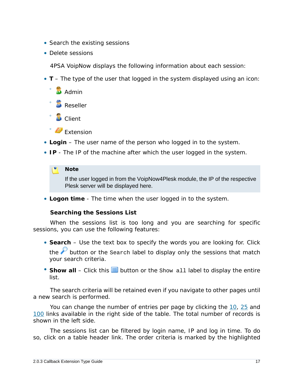- Search the existing sessions
- Delete sessions

4PSA VoipNow displays the following information about each session:

- **T** The type of the user that logged in the system displayed using an icon:
	- **Admin** ◦ **Reseller**
	- **D** Client
	- Extension
- **Login** The user name of the person who logged in to the system.
- **IP** The IP of the machine after which the user logged in the system.

#### **Note**

If the user logged in from the VoipNow4Plesk module, the IP of the respective Plesk server will be displayed here.

• **Logon time** - The time when the user logged in to the system.

**Searching the Sessions List**

When the sessions list is too long and you are searching for specific sessions, you can use the following features:

- **Search** Use the text box to specify the words you are looking for. Click the  $\mathcal P$  button or the Search label to display only the sessions that match your search criteria.
- Show all Click this  $\equiv$  button or the Show all label to display the entire list.

The search criteria will be retained even if you navigate to other pages until a new search is performed.

You can change the number of entries per page by clicking the 10, 25 and 100 links available in the right side of the table. The total number of records is shown in the left side.

The sessions list can be filtered by login name, IP and log in time. To do so, click on a table header link. The order criteria is marked by the highlighted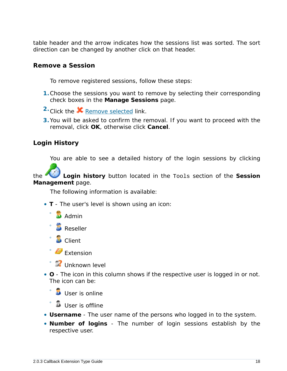table header and the arrow indicates how the sessions list was sorted. The sort direction can be changed by another click on that header.

<span id="page-17-0"></span>**Remove a Session**

To remove registered sessions, follow these steps:

- **1.**Choose the sessions you want to remove by selecting their corresponding check boxes in the **Manage Sessions** page.
- <sup>2</sup> Click the **X** Remove selected link.
- **3.**You will be asked to confirm the removal. If you want to proceed with the removal, click **OK**, otherwise click **Cancel**.

<span id="page-17-1"></span>**Login History**

You are able to see a detailed history of the login sessions by clicking

the **Login history** button located in the Tools section of the **Session Management** page.

The following information is available:

- **T** The user's level is shown using an icon:
	- $\Box$  Admin
	- **Reseller**
	- **D** Client

◦

- Extension
- **Unknown level**
- **O** The icon in this column shows if the respective user is logged in or not. The icon can be:

 $\bullet$ **User is online** 

- **User is offline**
- **Username** The user name of the persons who logged in to the system.
- **Number of logins** The number of login sessions establish by the respective user.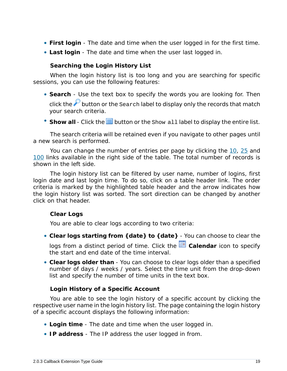- **First login** The date and time when the user logged in for the first time.
- **Last login** The date and time when the user last logged in.

**Searching the Login History List**

When the login history list is too long and you are searching for specific sessions, you can use the following features:

- **Search** Use the text box to specify the words you are looking for. Then click the  $\mathcal P$  button or the Search label to display only the records that match your search criteria.
- Show all Click the  $\equiv$  button or the Show all label to display the entire list.

The search criteria will be retained even if you navigate to other pages until a new search is performed.

You can change the number of entries per page by clicking the 10, 25 and 100 links available in the right side of the table. The total number of records is shown in the left side.

The login history list can be filtered by user name, number of logins, first login date and last login time. To do so, click on a table header link. The order criteria is marked by the highlighted table header and the arrow indicates how the login history list was sorted. The sort direction can be changed by another click on that header.

<span id="page-18-0"></span>**Clear Logs**

You are able to clear logs according to two criteria:

• **Clear logs starting from {date} to {date}** - You can choose to clear the

logs from a distinct period of time. Click the **E** Calendar icon to specify the start and end date of the time interval.

• **Clear logs older than** - You can choose to clear logs older than a specified number of days / weeks / years. Select the time unit from the drop-down list and specify the number of time units in the text box.

#### **Login History of a Specific Account**

You are able to see the login history of a specific account by clicking the respective user name in the login history list. The page containing the login history of a specific account displays the following information:

- **Login time** The date and time when the user logged in.
- **IP address** The IP address the user logged in from.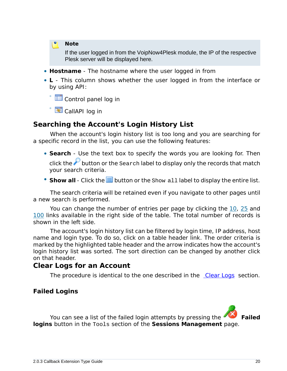**Note**

If the user logged in from the VoipNow4Plesk module, the IP of the respective Plesk server will be displayed here.

- **Hostname** The hostname where the user logged in from
- **L** This column shows whether the user logged in from the interface or by using API:

◦ Control panel log in

◦ CallAPI log in

### **Searching the Account's Login History List**

When the account's login history list is too long and you are searching for a specific record in the list, you can use the following features:

- **Search** Use the text box to specify the words you are looking for. Then click the  $\mathcal P$  button or the Search label to display only the records that match your search criteria.
- Show all Click the  $\equiv$  button or the show all label to display the entire list.

The search criteria will be retained even if you navigate to other pages until a new search is performed.

You can change the number of entries per page by clicking the 10, 25 and 100 links available in the right side of the table. The total number of records is shown in the left side.

The account's login history list can be filtered by login time, IP address, host name and login type. To do so, click on a table header link. The order criteria is marked by the highlighted table header and the arrow indicates how the account's login history list was sorted. The sort direction can be changed by another click on that header.

#### **Clear Logs for an Account**

The procedure is identical to the one described in the [Clear Logs](#page-18-0) section.

<span id="page-19-0"></span>**Failed Logins**

You can see a list of the failed login attempts by pressing the **Failed logins** button in the Tools section of the **Sessions Management** page.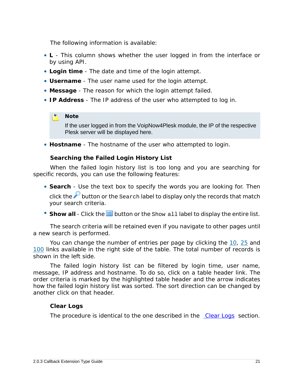The following information is available:

- **L** This column shows whether the user logged in from the interface or by using API.
- **Login time** The date and time of the login attempt.
- **Username** The user name used for the login attempt.
- **Message** The reason for which the login attempt failed.
- **IP Address** The IP address of the user who attempted to log in.

#### **Note**

If the user logged in from the VoipNow4Plesk module, the IP of the respective Plesk server will be displayed here.

• **Hostname** - The hostname of the user who attempted to login.

**Searching the Failed Login History List**

When the failed login history list is too long and you are searching for specific records, you can use the following features:

- **Search** Use the text box to specify the words you are looking for. Then click the  $\mathcal P$  button or the Search label to display only the records that match your search criteria.
- Show all Click the  $\equiv$  button or the show all label to display the entire list.

The search criteria will be retained even if you navigate to other pages until a new search is performed.

You can change the number of entries per page by clicking the 10, 25 and 100 links available in the right side of the table. The total number of records is shown in the left side.

The failed login history list can be filtered by login time, user name, message, IP address and hostname. To do so, click on a table header link. The order criteria is marked by the highlighted table header and the arrow indicates how the failed login history list was sorted. The sort direction can be changed by another click on that header.

#### **Clear Logs**

The procedure is identical to the one described in the [Clear Logs](#page-18-0) section.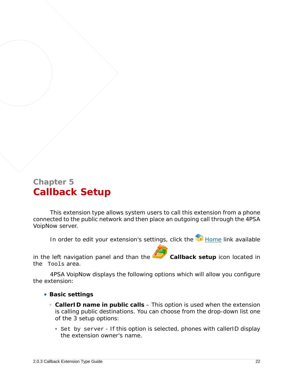## <span id="page-21-0"></span>**Chapter 5 Callback Setup**

This extension type allows system users to call this extension from a phone connected to the public network and then place an outgoing call through the 4PSA VoipNow server.

In order to edit your extension's settings, click the Home link available

in the left navigation panel and than the **Callback setup** icon located in the Tools area.

4PSA VoipNow displays the following options which will allow you configure the extension:

- **Basic settings**
	- **CallerID name in public calls** This option is used when the extension is calling public destinations. You can choose from the drop-down list one of the 3 setup options:
		- Set by server If this option is selected, phones with callerID display the extension owner's name.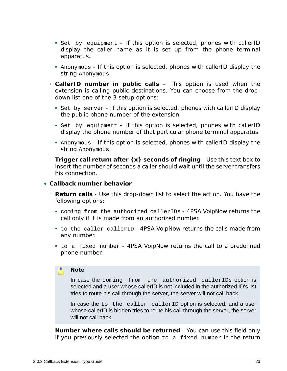- Set by equipment If this option is selected, phones with callerID display the caller name as it is set up from the phone terminal apparatus.
- Anonymous If this option is selected, phones with callerID display the string Anonymous.
- **CallerID number in public calls** This option is used when the extension is calling public destinations. You can choose from the dropdown list one of the 3 setup options:
	- Set by server If this option is selected, phones with callerID display the public phone number of the extension.
	- Set by equipment If this option is selected, phones with callerID display the phone number of that particular phone terminal apparatus.
	- Anonymous If this option is selected, phones with callerID display the string Anonymous.
- **Trigger call return after {x} seconds of ringing** Use this text box to insert the number of seconds a caller should wait until the server transfers his connection.
- **Callback number behavior**
	- **Return calls** Use this drop-down list to select the action. You have the following options:
		- coming from the authorized callerIDs 4PSA VoipNow returns the call only if it is made from an authorized number.
		- to the caller callerID 4PSA VoipNow returns the calls made from any number.
		- to a fixed number 4PSA VoipNow returns the call to a predefined phone number.

#### **Note**

In case the coming from the authorized callerIDs option is selected and a user whose callerID is not included in the authorized ID's list tries to route his call through the server, the server will not call back.

In case the to the caller callerID option is selected, and a user whose callerID is hidden tries to route his call through the server, the server will not call back.

◦ **Number where calls should be returned** - You can use this field only if you previously selected the option to a fixed number in the return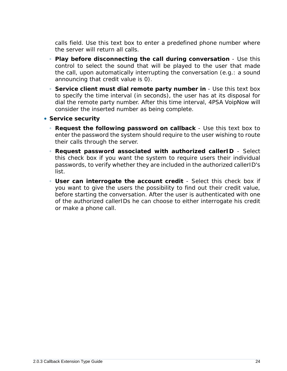calls field. Use this text box to enter a predefined phone number where the server will return all calls.

- **Play before disconnecting the call during conversation** Use this control to select the sound that will be played to the user that made the call, upon automatically interrupting the conversation (e.g.: a sound announcing that credit value is 0).
- **Service client must dial remote party number in** Use this text box to specify the time interval (in seconds), the user has at its disposal for dial the remote party number. After this time interval, 4PSA VoipNow will consider the inserted number as being complete.
- **Service security**
	- **Request the following password on callback** Use this text box to enter the password the system should require to the user wishing to route their calls through the server.
	- **Request password associated with authorized callerID** Select this check box if you want the system to require users their individual passwords, to verify whether they are included in the authorized callerID's list.
	- **User can interrogate the account credit** Select this check box if you want to give the users the possibility to find out their credit value, before starting the conversation. After the user is authenticated with one of the authorized callerIDs he can choose to either interrogate his credit or make a phone call.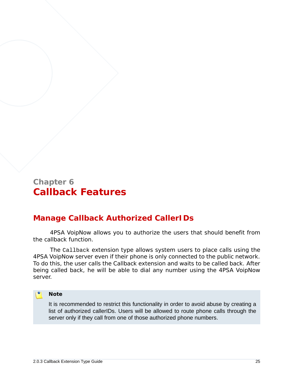### <span id="page-24-0"></span>**Chapter 6 Callback Features**

### <span id="page-24-1"></span>**Manage Callback Authorized CallerIDs**

4PSA VoipNow allows you to authorize the users that should benefit from the callback function.

The Callback extension type allows system users to place calls using the 4PSA VoipNow server even if their phone is only connected to the public network. To do this, the user calls the Callback extension and waits to be called back. After being called back, he will be able to dial any number using the 4PSA VoipNow server.

#### **Note**

It is recommended to restrict this functionality in order to avoid abuse by creating a list of authorized callerIDs. Users will be allowed to route phone calls through the server only if they call from one of those authorized phone numbers.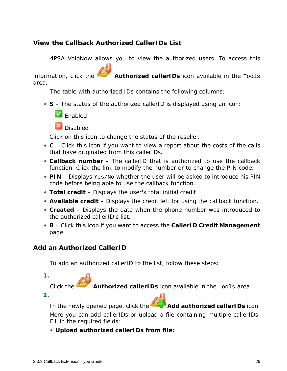### <span id="page-25-0"></span>**View the Callback Authorized CallerIDs List**

4PSA VoipNow allows you to view the authorized users. To access this

information, click the **Authorized callerIDs** icon available in the Tools area.

The table with authorized IDs contains the following columns:

• **S** – The status of the authorized callerID is displayed using an icon:



◦

Disabled

Click on this icon to change the status of the reseller.

- **C** Click this icon if you want to view a report about the costs of the calls that have originated from this callerIDs.
- **Callback number** The callerID that is authorized to use the callback function. Click the link to modify the number or to change the PIN code.
- **PIN** Displays Yes/No whether the user will be asked to introduce his PIN code before being able to use the callback function.
- **Total credit** Displays the user's total initial credit.
- **Available credit** Displays the credit left for using the callback function.
- **Created** Displays the date when the phone number was introduced to the authorized callerID's list.
- **B** Click this icon if you want to access the **CallerID Credit Management** page.

<span id="page-25-1"></span>**Add an Authorized CallerID**

To add an authorized callerID to the list, follow these steps:

Click the **Authorized callerIDs** icon available in the Tools area.

**2.**

**1.**

In the newly opened page, click the **Add authorized callerIDs** icon.

Here you can add callerIDs or upload a file containing multiple callerIDs. Fill in the required fields:

• **Upload authorized callerIDs from file:**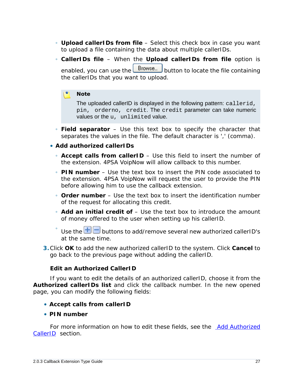- **Upload callerIDs from file** Select this check box in case you want to upload a file containing the data about multiple callerIDs.
- **CallerIDs file** When the **Upload callerIDs from file** option is enabled, you can use the  $\Box$  Browse... button to locate the file containing the callerIDs that you want to upload.

#### **Note**

The uploaded callerID is displayed in the following pattern: callerid, pin, orderno, credit. The credit parameter can take numeric values or the u, unlimited value.

- **Field separator** Use this text box to specify the character that separates the values in the file. The default character is ',' (comma).
- **Add authorized callerIDs**
	- **Accept calls from callerID** Use this field to insert the number of the extension. 4PSA VoipNow will allow callback to this number.
	- **PIN number** Use the text box to insert the PIN code associated to the extension. 4PSA VoipNow will request the user to provide the PIN before allowing him to use the callback extension.
	- **Order number** Use the text box to insert the identification number of the request for allocating this credit.
	- **Add an initial credit of** Use the text box to introduce the amount of money offered to the user when setting up his callerID.
	- Use the  $\pm$  buttons to add/remove several new authorized callerID's at the same time.
- **3.**Click **OK** to add the new authorized callerID to the system. Click **Cancel** to go back to the previous page without adding the callerID.

**Edit an Authorized CallerID**

If you want to edit the details of an authorized callerID, choose it from the **Authorized callerIDs list** and click the callback number. In the new opened page, you can modify the following fields:

- **Accept calls from callerID**
- **PIN number**

For more information on how to edit these fields, see the [Add Authorized](#page-25-1) [CallerID](#page-25-1) section.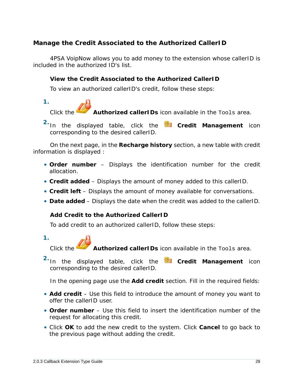<span id="page-27-0"></span>**Manage the Credit Associated to the Authorized CallerID**

4PSA VoipNow allows you to add money to the extension whose callerID is included in the authorized ID's list.

**View the Credit Associated to the Authorized CallerID**

To view an authorized callerID's credit, follow these steps:



Authorized callerIDs icon available in the Tools area.

<sup>2.</sup> In the displayed table, click the **Credit Management** icon corresponding to the desired callerID.

On the next page, in the **Recharge history** section, a new table with credit information is displayed :

- **Order number** Displays the identification number for the credit allocation.
- **Credit added** Displays the amount of money added to this callerID.
- **Credit left** Displays the amount of money available for conversations.
- **Date added** Displays the date when the credit was added to the callerID.

**Add Credit to the Authorized CallerID**

To add credit to an authorized callerID, follow these steps:

**1.**



Click the **Authorized callerIDs** icon available in the Tools area.

**2.** In the displayed table, click the **Credit Management** icon corresponding to the desired callerID.

In the opening page use the **Add credit** section. Fill in the required fields:

- **Add credit** Use this field to introduce the amount of money you want to offer the callerID user.
- **Order number** Use this field to insert the identification number of the request for allocating this credit.
- Click **OK** to add the new credit to the system. Click **Cancel** to go back to the previous page without adding the credit.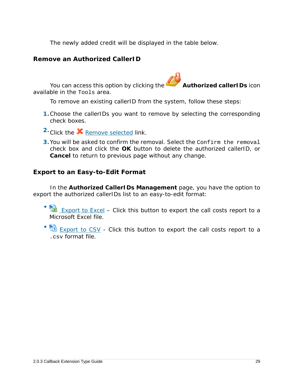The newly added credit will be displayed in the table below.

#### <span id="page-28-0"></span>**Remove an Authorized CallerID**

You can access this option by clicking the **Authorized callerIDs** icon available in the Tools area.

To remove an existing callerID from the system, follow these steps:

- **1.**Choose the callerIDs you want to remove by selecting the corresponding check boxes.
- 2. Click the **X** Remove selected link.
- **3.**You will be asked to confirm the removal. Select the Confirm the removal check box and click the **OK** button to delete the authorized callerID, or **Cancel** to return to previous page without any change.

<span id="page-28-1"></span>**Export to an Easy-to-Edit Format**

In the **Authorized CallerIDs Management** page, you have the option to export the authorized callerIDs list to an easy-to-edit format:

- **EXPORT THE EXPORT OF EXCEL** – Click this button to export the call costs report to a Microsoft Excel file.
- **Export to CSV** - Click this button to export the call costs report to a .csv format file.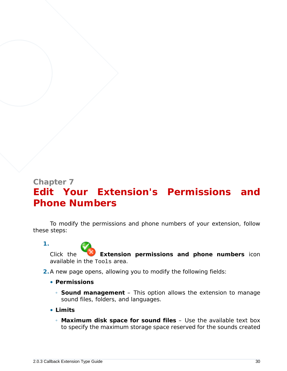## <span id="page-29-0"></span>**Chapter 7 Edit Your Extension's Permissions and Phone Numbers**

To modify the permissions and phone numbers of your extension, follow these steps:

Click the **Extension permissions and phone numbers** icon available in the Tools area.

- **2.**A new page opens, allowing you to modify the following fields:
	- **Permissions**
		- **Sound management** This option allows the extension to manage sound files, folders, and languages.
	- **Limits**

**1.**

◦ **Maximum disk space for sound files** – Use the available text box to specify the maximum storage space reserved for the sounds created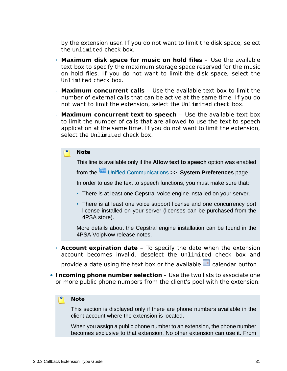by the extension user. If you do not want to limit the disk space, select the Unlimited check box.

- **Maximum disk space for music on hold files** Use the available text box to specify the maximum storage space reserved for the music on hold files. If you do not want to limit the disk space, select the Unlimited check box.
- **Maximum concurrent calls** Use the available text box to limit the number of external calls that can be active at the same time. If you do not want to limit the extension, select the Unlimited check box.
- **Maximum concurrent text to speech** Use the available text box to limit the number of calls that are allowed to use the text to speech application at the same time. If you do not want to limit the extension, select the Unlimited check box.

#### **Note**

This line is available only if the **Allow text to speech** option was enabled

from the Unified Communications >> **System Preferences** page.

In order to use the text to speech functions, you must make sure that:

- **There is at least one Cepstral voice engine installed on your server.**
- There is at least one voice support license and one concurrency port license installed on your server (licenses can be purchased from the 4PSA store).

More details about the Cepstral engine installation can be found in the 4PSA VoipNow release notes.

◦ **Account expiration date** – To specify the date when the extension account becomes invalid, deselect the Unlimited check box and

provide a date using the text box or the available **calendar button**.

• **Incoming phone number selection** – Use the two lists to associate one or more public phone numbers from the client's pool with the extension.

#### **Note**

This section is displayed only if there are phone numbers available in the client account where the extension is located.

When you assign a public phone number to an extension, the phone number becomes exclusive to that extension. No other extension can use it. From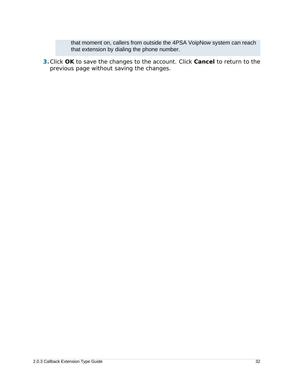that moment on, callers from outside the 4PSA VoipNow system can reach that extension by dialing the phone number.

**3.**Click **OK** to save the changes to the account. Click **Cancel** to return to the previous page without saving the changes.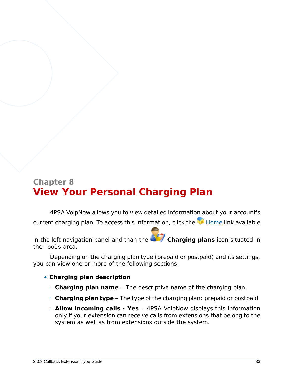## <span id="page-32-0"></span>**Chapter 8 View Your Personal Charging Plan**

4PSA VoipNow allows you to view detailed information about your account's current charging plan. To access this information, click the Home link available

in the left navigation panel and than the **Charging plans** icon situated in the Tools area.

Depending on the charging plan type (prepaid or postpaid) and its settings, you can view one or more of the following sections:

- **Charging plan description**
	- **Charging plan name** The descriptive name of the charging plan.
	- **Charging plan type** The type of the charging plan: prepaid or postpaid.
	- **Allow incoming calls Yes** 4PSA VoipNow displays this information only if your extension can receive calls from extensions that belong to the system as well as from extensions outside the system.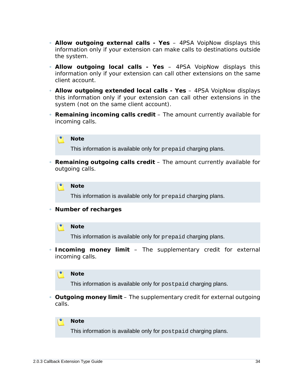- **Allow outgoing external calls Yes** 4PSA VoipNow displays this information only if your extension can make calls to destinations outside the system.
- **Allow outgoing local calls Yes** 4PSA VoipNow displays this information only if your extension can call other extensions on the same client account.
- **Allow outgoing extended local calls Yes** 4PSA VoipNow displays this information only if your extension can call other extensions in the system (not on the same client account).
- **Remaining incoming calls credit** The amount currently available for incoming calls.



This information is available only for prepaid charging plans.

◦ **Remaining outgoing calls credit** – The amount currently available for outgoing calls.



This information is available only for prepaid charging plans.

◦ **Number of recharges**

#### **Note**

This information is available only for prepaid charging plans.

◦ **Incoming money limit** – The supplementary credit for external incoming calls.



This information is available only for postpaid charging plans.

◦ **Outgoing money limit** – The supplementary credit for external outgoing calls.



This information is available only for postpaid charging plans.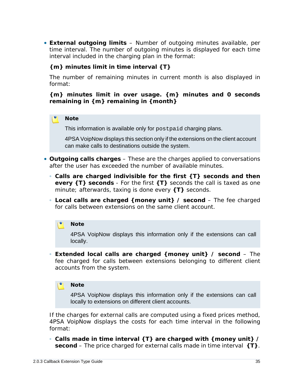• **External outgoing limits** – Number of outgoing minutes available, per time interval. The number of outgoing minutes is displayed for each time interval included in the charging plan in the format:

**{m} minutes limit in time interval {T}**

The number of remaining minutes in current month is also displayed in format:

**{m} minutes limit in over usage. {m} minutes and 0 seconds remaining in {m} remaining in {month}**

#### **Note**

This information is available only for postpaid charging plans.

4PSA VoipNow displays this section only if the extensions on the client account can make calls to destinations outside the system.

- **Outgoing calls charges** These are the charges applied to conversations after the user has exceeded the number of available minutes.
	- **Calls are charged indivisible for the first {T} seconds and then every {T} seconds** - For the first **{T}** seconds the call is taxed as one minute; afterwards, taxing is done every **{T}** seconds.
	- **Local calls are charged {money unit} / second** The fee charged for calls between extensions on the same client account.

#### $\bullet$ **Note**

4PSA VoipNow displays this information only if the extensions can call locally.

◦ **Extended local calls are charged {money unit} / second** – The fee charged for calls between extensions belonging to different client accounts from the system.

#### **Note**

4PSA VoipNow displays this information only if the extensions can call locally to extensions on different client accounts.

If the charges for external calls are computed using a fixed prices method, 4PSA VoipNow displays the costs for each time interval in the following format:

◦ **Calls made in time interval {T} are charged with {money unit} / second** – The price charged for external calls made in time interval **{T}**.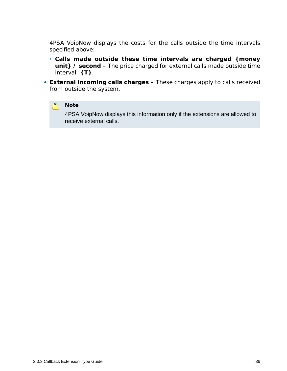4PSA VoipNow displays the costs for the calls outside the time intervals specified above:

- **Calls made outside these time intervals are charged {money unit} / second** – The price charged for external calls made outside time interval **{T}**.
- **External incoming calls charges** These charges apply to calls received from outside the system.

#### $\bullet$ **Note**

4PSA VoipNow displays this information only if the extensions are allowed to receive external calls.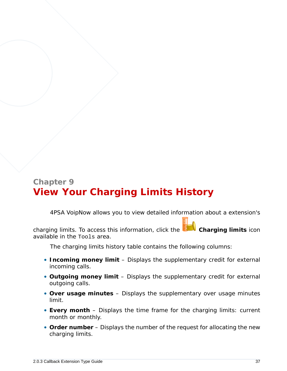# **Chapter 9 View Your Charging Limits History**

4PSA VoipNow allows you to view detailed information about a extension's

charging limits. To access this information, click the **Charging limits** icon available in the Tools area.

The charging limits history table contains the following columns:

- **Incoming money limit** Displays the supplementary credit for external incoming calls.
- **Outgoing money limit** Displays the supplementary credit for external outgoing calls.
- **Over usage minutes** Displays the supplementary over usage minutes limit.
- **Every month** Displays the time frame for the charging limits: current month or monthly.
- **Order number** Displays the number of the request for allocating the new charging limits.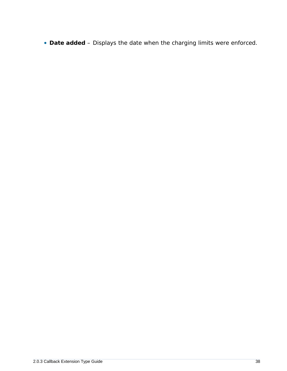• **Date added** – Displays the date when the charging limits were enforced.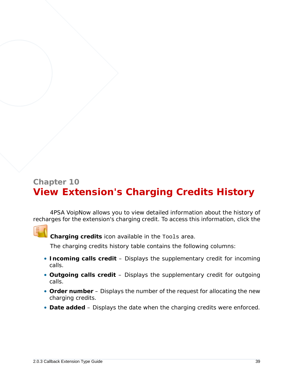# **Chapter 10 View Extension's Charging Credits History**

4PSA VoipNow allows you to view detailed information about the history of recharges for the extension's charging credit. To access this information, click the



**Charging credits** icon available in the Tools area.

The charging credits history table contains the following columns:

- **Incoming calls credit** Displays the supplementary credit for incoming calls.
- **Outgoing calls credit** Displays the supplementary credit for outgoing calls.
- **Order number** Displays the number of the request for allocating the new charging credits.
- **Date added** Displays the date when the charging credits were enforced.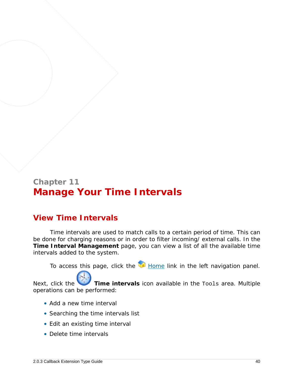# **Chapter 11 Manage Your Time Intervals**

## **View Time Intervals**

Time intervals are used to match calls to a certain period of time. This can be done for charging reasons or in order to filter incoming/ external calls. In the **Time Interval Management** page, you can view a list of all the available time intervals added to the system.

To access this page, click the Home link in the left navigation panel.

Next, click the **Time intervals** icon available in the Tools area. Multiple operations can be performed:

- Add a new time interval
- Searching the time intervals list
- Edit an existing time interval
- Delete time intervals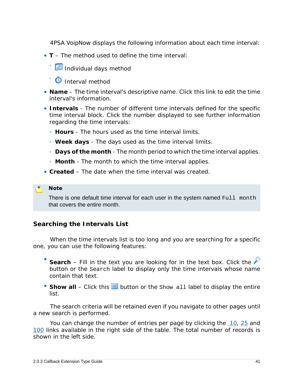4PSA VoipNow displays the following information about each time interval:

- **T** The method used to define the time interval:
	- ® <mark>⊞</mark> Individual days method
	- **O** Interval method
- **Name** The time interval's descriptive name. Click this link to edit the time interval's information.
- **Intervals** The number of different time intervals defined for the specific time interval block. Click the number displayed to see further information regarding the time intervals:
	- **Hours** The hours used as the time interval limits.
	- **Week days** The days used as the time interval limits.
	- **Days of the month** The month period to which the time interval applies.
	- **Month** The month to which the time interval applies.
- **Created** The date when the time interval was created.

### **Note**

There is one default time interval for each user in the system named Full month that covers the entire month.

## **Searching the Intervals List**

When the time intervals list is too long and you are searching for a specific one, you can use the following features:

- Search – Fill in the text you are looking for in the text box. Click the button or the Search label to display only the time intervals whose name contain that text.
- Show all Click this  $\equiv$  button or the Show all label to display the entire list.

The search criteria will be retained even if you navigate to other pages until a new search is performed.

You can change the number of entries per page by clicking the 10, 25 and 100 links available in the right side of the table. The total number of records is shown in the left side.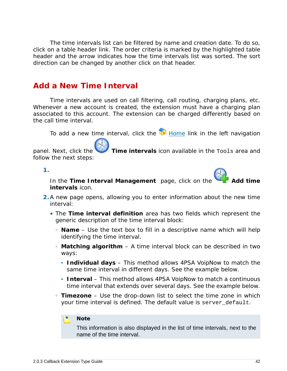The time intervals list can be filtered by name and creation date. To do so, click on a table header link. The order criteria is marked by the highlighted table header and the arrow indicates how the time intervals list was sorted. The sort direction can be changed by another click on that header.

## <span id="page-41-0"></span>**Add a New Time Interval**

Time intervals are used on call filtering, call routing, charging plans, etc. Whenever a new account is created, the extension must have a charging plan associated to this account. The extension can be charged differently based on the call time interval.

To add a new time interval, click the  $\blacksquare$  Home link in the left navigation

panel. Next, click the **Time intervals** icon available in the Tools area and follow the next steps:

**1.**



In the Time Interval Management page, click on the **intervals** icon.

- **2.**A new page opens, allowing you to enter information about the new time interval:
	- The **Time interval definition** area has two fields which represent the generic description of the time interval block:
		- **Name** Use the text box to fill in a descriptive name which will help identifying the time interval.
		- **Matching algorithm** A time interval block can be described in two ways:
			- **Individual days** This method allows 4PSA VoipNow to match the same time interval in different days. See the example below.
			- **Interval** This method allows 4PSA VoipNow to match a continuous time interval that extends over several days. See the example below.
		- **Timezone** Use the drop-down list to select the time zone in which your time interval is defined. The default value is server default.

### **Note**

This information is also displayed in the list of time intervals, next to the name of the time interval.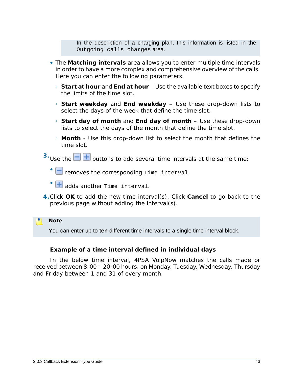In the description of a charging plan, this information is listed in the Outgoing calls charges area.

- The **Matching intervals** area allows you to enter multiple time intervals in order to have a more complex and comprehensive overview of the calls. Here you can enter the following parameters:
	- **Start at hour** and **End at hour** Use the available text boxes to specify the limits of the time slot.
	- **Start weekday** and **End weekday** Use these drop-down lists to select the days of the week that define the time slot.
	- **Start day of month** and **End day of month** Use these drop-down lists to select the days of the month that define the time slot.
	- **Month** Use this drop-down list to select the month that defines the time slot.
- $3.$  Use the  $\Box$  **+** buttons to add several time intervals at the same time:
	- $\Box$  removes the corresponding Time interval.
	- **+** adds another rime interval.
- **4.**Click **OK** to add the new time interval(s). Click **Cancel** to go back to the previous page without adding the interval(s).

**Note**

You can enter up to **ten** different time intervals to a single time interval block.

**Example of a time interval defined in individual days**

In the below time interval, 4PSA VoipNow matches the calls made or received between 8:00 – 20:00 hours, on Monday, Tuesday, Wednesday, Thursday and Friday between 1 and 31 of every month.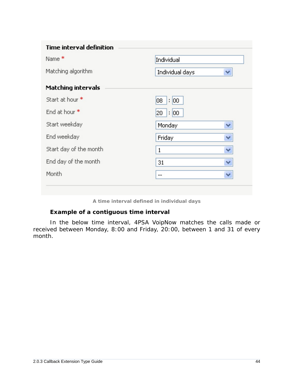| <b>Time interval definition</b> |                             |                      |
|---------------------------------|-----------------------------|----------------------|
| Name <sup>*</sup>               | Individual                  |                      |
| Matching algorithm              | Individual days             | v                    |
| <b>Matching intervals</b>       |                             |                      |
| Start at hour *                 | $\vert$ : $\vert$ 00<br>08. |                      |
| End at hour *                   | 20 : 00                     |                      |
| Start weekday                   | Monday                      | $\checkmark$         |
| End weekday                     | Friday                      | $\checkmark$         |
| Start day of the month          | $\mathbf{1}$                | $\blacktriangledown$ |
| End day of the month            | 31                          | $\mathbf{v}$         |
| Month                           | $-$                         | $\checkmark$         |

**A time interval defined in individual days**

**Example of a contiguous time interval**

In the below time interval, 4PSA VoipNow matches the calls made or received between Monday, 8:00 and Friday, 20:00, between 1 and 31 of every month.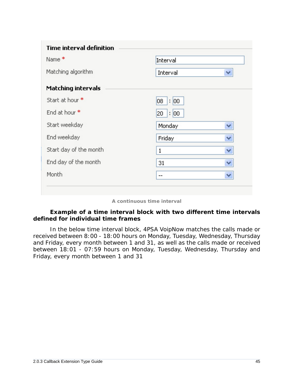| <b>Time interval definition</b> |                             |                      |
|---------------------------------|-----------------------------|----------------------|
| Name <sup>*</sup>               | Interval                    |                      |
| Matching algorithm              | Interval                    | w                    |
| <b>Matching intervals</b>       |                             |                      |
| Start at hour *                 | $\vert$ : $\vert$ 00<br>08. |                      |
| End at hour *                   | 20 : 00                     |                      |
| Start weekday                   | Monday                      | $\checkmark$         |
| End weekday                     | Friday                      | $\blacktriangledown$ |
| Start day of the month          | $\mathbf{1}$                | $\checkmark$         |
| End day of the month            | 31                          | $\checkmark$         |
| Month                           |                             | $\mathbf{v}$         |

### **A continuous time interval**

**Example of a time interval block with two different time intervals defined for individual time frames**

In the below time interval block, 4PSA VoipNow matches the calls made or received between 8:00 - 18:00 hours on Monday, Tuesday, Wednesday, Thursday and Friday, every month between 1 and 31, as well as the calls made or received between 18:01 - 07:59 hours on Monday, Tuesday, Wednesday, Thursday and Friday, every month between 1 and 31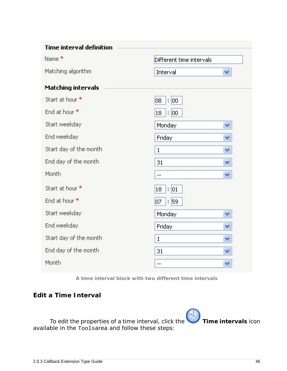| <b>Time interval definition</b> |                          |              |
|---------------------------------|--------------------------|--------------|
| Name <sup>*</sup>               | Different time intervals |              |
| Matching algorithm              | Interval                 | v            |
| <b>Matching intervals</b>       |                          |              |
| Start at hour *                 | OB.<br>$\frac{1}{2}$ 00  |              |
| End at hour *                   | $\frac{1}{2}$ 00<br>18   |              |
| Start weekday                   | Monday                   | v            |
| End weekday                     | Friday                   | $\checkmark$ |
| Start day of the month          | $\mathbf{1}$             | $\checkmark$ |
| End day of the month            | 31                       | $\checkmark$ |
| Month                           |                          | $\forall$    |
| Start at hour *                 | $\frac{1}{2}$ 01<br>18   |              |
| End at hour *                   | : 59<br>07               |              |
| Start weekday                   | Monday                   | v            |
| End weekday                     | Friday                   | $\checkmark$ |
| Start day of the month          | $\mathbf{1}$             | v            |
| End day of the month            | 31                       | v            |
| Month                           |                          | v            |

**A time interval block with two different time intervals**

## **Edit a Time Interval**

To edit the properties of a time interval, click the **Time intervals** icon available in the Toolsarea and follow these steps: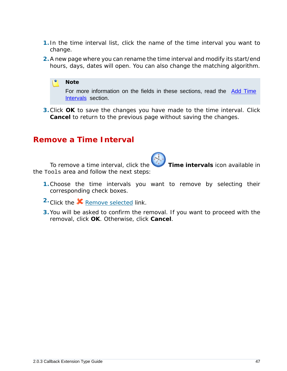- **1.** In the time interval list, click the name of the time interval you want to change.
- **2.**A new page where you can rename the time interval and modify its start/end hours, days, dates will open. You can also change the matching algorithm.



**3.**Click **OK** to save the changes you have made to the time interval. Click **Cancel** to return to the previous page without saving the changes.

## **Remove a Time Interval**

To remove a time interval, click the **Time intervals** icon available in the Tools area and follow the next steps:

- **1.**Choose the time intervals you want to remove by selecting their corresponding check boxes.
- 2. Click the **X** Remove selected link.
- **3.**You will be asked to confirm the removal. If you want to proceed with the removal, click **OK**. Otherwise, click **Cancel**.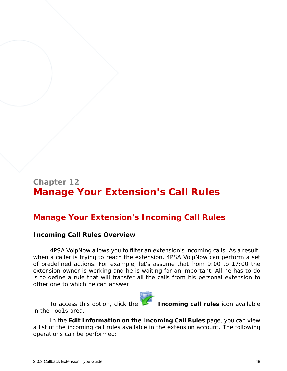# **Chapter 12 Manage Your Extension's Call Rules**

## **Manage Your Extension's Incoming Call Rules**

## **Incoming Call Rules Overview**

4PSA VoipNow allows you to filter an extension's incoming calls. As a result, when a caller is trying to reach the extension, 4PSA VoipNow can perform a set of predefined actions. For example, let's assume that from 9:00 to 17:00 the extension owner is working and he is waiting for an important. All he has to do is to define a rule that will transfer all the calls from his personal extension to other one to which he can answer.



To access this option, click the **Incoming call rules** icon available

In the **Edit Information on the Incoming Call Rules** page, you can view a list of the incoming call rules available in the extension account. The following operations can be performed:

in the Tools area.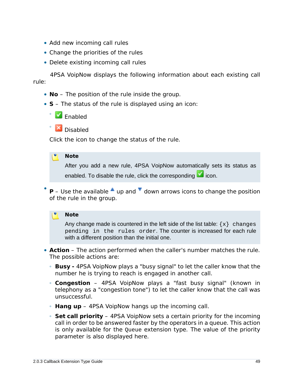- Add new incoming call rules
- Change the priorities of the rules
- Delete existing incoming call rules

4PSA VoipNow displays the following information about each existing call rule:

- **No** The position of the rule inside the group.
- **S** The status of the rule is displayed using an icon:



◦

**X** Disabled

Click the icon to change the status of the rule.

### **Note**

After you add a new rule, 4PSA VoipNow automatically sets its status as enabled. To disable the rule, click the corresponding  $\blacksquare$  icon.

• **P** – Use the available  $\triangleq$  up and  $\triangleq$  down arrows icons to change the position of the rule in the group.

### **Note**

Any change made is countered in the left side of the list table:  $\{x\}$  changes pending in the rules order. The counter is increased for each rule with a different position than the initial one.

- **Action** The action performed when the caller's number matches the rule. The possible actions are:
	- **Busy** 4PSA VoipNow plays a "busy signal" to let the caller know that the number he is trying to reach is engaged in another call.
	- **Congestion** 4PSA VoipNow plays a "fast busy signal" (known in telephony as a "congestion tone") to let the caller know that the call was unsuccessful.
	- **Hang up** 4PSA VoipNow hangs up the incoming call.
	- **Set call priority** 4PSA VoipNow sets a certain priority for the incoming call in order to be answered faster by the operators in a queue. This action is only available for the Queue extension type. The value of the priority parameter is also displayed here.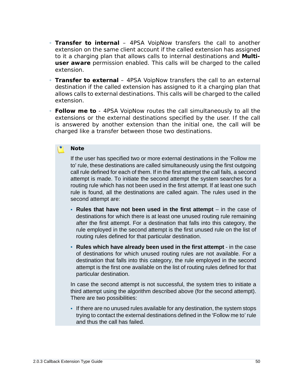- **Transfer to internal** 4PSA VoipNow transfers the call to another extension on the same client account if the called extension has assigned to it a charging plan that allows calls to internal destinations and **Multiuser aware** permission enabled. This calls will be charged to the called extension.
- **Transfer to external** 4PSA VoipNow transfers the call to an external destination if the called extension has assigned to it a charging plan that allows calls to external destinations. This calls will be charged to the called extension.
- **Follow me to** 4PSA VoipNow routes the call simultaneously to all the extensions or the external destinations specified by the user. If the call is answered by another extension than the initial one, the call will be charged like a transfer between those two destinations.

### **Note**

If the user has specified two or more external destinations in the 'Follow me to' rule, these destinations are called simultaneously using the first outgoing call rule defined for each of them. If in the first attempt the call fails, a second attempt is made. To initiate the second attempt the system searches for a routing rule which has not been used in the first attempt. If at least one such rule is found, all the destinations are called again. The rules used in the second attempt are:

- **Rules that have not been used in the first attempt** in the case of destinations for which there is at least one unused routing rule remaining after the first attempt. For a destination that falls into this category, the rule employed in the second attempt is the first unused rule on the list of routing rules defined for that particular destination.
- **Rules which have already been used in the first attempt** in the case of destinations for which unused routing rules are not available. For a destination that falls into this category, the rule employed in the second attempt is the first one available on the list of routing rules defined for that particular destination.

In case the second attempt is not successful, the system tries to initiate a third attempt using the algorithm described above (for the second attempt). There are two possibilities:

▪ If there are no unused rules available for any destination, the system stops trying to contact the external destinations defined in the 'Follow me to' rule and thus the call has failed.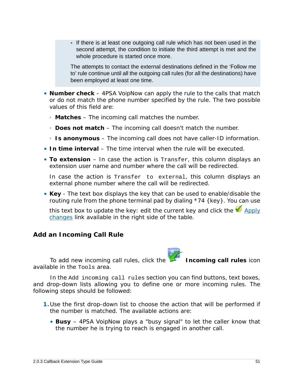▪ If there is at least one outgoing call rule which has not been used in the second attempt, the condition to initiate the third attempt is met and the whole procedure is started once more.

The attempts to contact the external destinations defined in the 'Follow me to' rule continue until all the outgoing call rules (for all the destinations) have been employed at least one time.

- **Number check** 4PSA VoipNow can apply the rule to the calls that match or do not match the phone number specified by the rule. The two possible values of this field are:
	- **Matches** The incoming call matches the number.
	- **Does not match** The incoming call doesn't match the number.
	- **Is anonymous** The incoming call does not have caller-ID information.
- **In time interval** The time interval when the rule will be executed.
- **To extension** In case the action is Transfer, this column displays an extension user name and number where the call will be redirected.

In case the action is Transfer to external, this column displays an external phone number where the call will be redirected.

• **Key** - The text box displays the key that can be used to enable/disable the routing rule from the phone terminal pad by dialing \*74 {key}. You can use

this text box to update the key: edit the current key and click the  $\bigotimes_{\text{Apply}}$ changes link available in the right side of the table.

**Add an Incoming Call Rule**

To add new incoming call rules, click the **Incoming call rules** icon available in the Tools area.

In the Add incoming call rules section you can find buttons, text boxes, and drop-down lists allowing you to define one or more incoming rules. The following steps should be followed:

- **1.**Use the first drop-down list to choose the action that will be performed if the number is matched. The available actions are:
	- **Busy** 4PSA VoipNow plays a "busy signal" to let the caller know that the number he is trying to reach is engaged in another call.



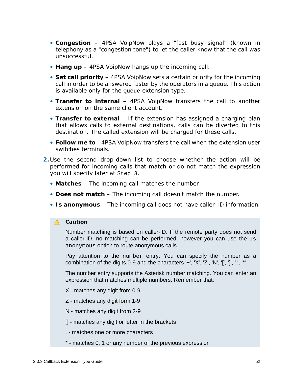- **Congestion** 4PSA VoipNow plays a "fast busy signal" (known in telephony as a "congestion tone") to let the caller know that the call was unsuccessful.
- **Hang up** 4PSA VoipNow hangs up the incoming call.
- **Set call priority** 4PSA VoipNow sets a certain priority for the incoming call in order to be answered faster by the operators in a queue. This action is available only for the Queue extension type.
- **Transfer to internal** 4PSA VoipNow transfers the call to another extension on the same client account.
- **Transfer to external** If the extension has assigned a charging plan that allows calls to external destinations, calls can be diverted to this destination. The called extension will be charged for these calls.
- **Follow me to** 4PSA VoipNow transfers the call when the extension user switches terminals.
- **2.**Use the second drop-down list to choose whether the action will be performed for incoming calls that match or do not match the expression you will specify later at Step 3.
	- **Matches** The incoming call matches the number.
	- **Does not match** The incoming call doesn't match the number.
	- **Is anonymous** The incoming call does not have caller-ID information.

### **A** Caution

Number matching is based on caller-ID. If the remote party does not send a caller-ID, no matching can be performed; however you can use the Is anonymous option to route anonymous calls.

Pay attention to the number entry. You can specify the number as a combination of the digits 0-9 and the characters '+', 'X', 'Z', 'N', 'J', '', '', '\*'.

The number entry supports the Asterisk number matching. You can enter an expression that matches multiple numbers. Remember that:

- X matches any digit from 0-9
- Z matches any digit form 1-9
- N matches any digit from 2-9
- [] matches any digit or letter in the brackets
- . matches one or more characters
- \* matches 0, 1 or any number of the previous expression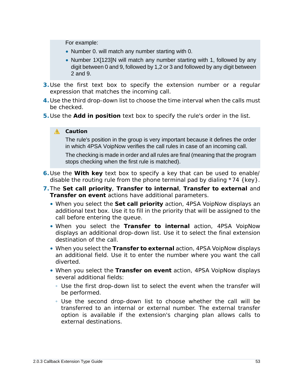For example:

- Number 0. will match any number starting with 0.
- Number 1X[123]N will match any number starting with 1, followed by any digit between 0 and 9, followed by 1,2 or 3 and followed by any digit between 2 and 9.
- **3.**Use the first text box to specify the extension number or a regular expression that matches the incoming call.
- **4.**Use the third drop-down list to choose the time interval when the calls must be checked.
- **5.**Use the **Add in position** text box to specify the rule's order in the list.

## **A** Caution

The rule's position in the group is very important because it defines the order in which 4PSA VoipNow verifies the call rules in case of an incoming call.

The checking is made in order and all rules are final (meaning that the program stops checking when the first rule is matched).

- **6.**Use the **With key** text box to specify a key that can be used to enable/ disable the routing rule from the phone terminal pad by dialing \*74 {key}.
- **7.**The **Set call priority**, **Transfer to internal**, **Transfer to external** and **Transfer on event** actions have additional parameters.
	- When you select the **Set call priority** action, 4PSA VoipNow displays an additional text box. Use it to fill in the priority that will be assigned to the call before entering the queue.
	- When you select the **Transfer to internal** action, 4PSA VoipNow displays an additional drop-down list. Use it to select the final extension destination of the call.
	- When you select the **Transfer to external** action, 4PSA VoipNow displays an additional field. Use it to enter the number where you want the call diverted.
	- When you select the **Transfer on event** action, 4PSA VoipNow displays several additional fields:
		- Use the first drop-down list to select the event when the transfer will be performed.
		- Use the second drop-down list to choose whether the call will be transferred to an internal or external number. The external transfer option is available if the extension's charging plan allows calls to external destinations.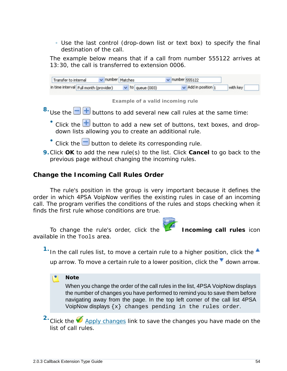◦ Use the last control (drop-down list or text box) to specify the final destination of the call.

The example below means that if a call from number 555122 arrives at 13:30, the call is transferred to extension 0006.

| v number Matches<br>Transfer to internal |                       | $\vee$ number 555122     |          |
|------------------------------------------|-----------------------|--------------------------|----------|
| in time interval Full month (provider)   | $\vee$ to queue (003) | $\vee$ Add in position 1 | with key |

**Example of a valid incoming rule**

- $8.8$  Use the  $\Box$  buttons to add several new call rules at the same time:
	- $\bullet$  Click the  $\overline{\pm}$  button to add a new set of buttons, text boxes, and dropdown lists allowing you to create an additional rule.
	- $\bullet$  Click the  $\Box$  button to delete its corresponding rule.
- **9.**Click **OK** to add the new rule(s) to the list. Click **Cancel** to go back to the previous page without changing the incoming rules.

**Change the Incoming Call Rules Order**

The rule's position in the group is very important because it defines the order in which 4PSA VoipNow verifies the existing rules in case of an incoming call. The program verifies the conditions of the rules and stops checking when it finds the first rule whose conditions are true.

To change the rule's order, click the **Incoming call rules** icon available in the Tools area.

<sup>1.</sup> In the call rules list, to move a certain rule to a higher position, click the  $\triangle$ 

up arrow. To move a certain rule to a lower position, click the  $\blacksquare$  down arrow.

**Note**

When you change the order of the call rules in the list, 4PSA VoipNow displays the number of changes you have performed to remind you to save them before navigating away from the page. In the top left corner of the call list 4PSA VoipNow displays  $\{x\}$  changes pending in the rules order.

<sup>2</sup>. Click the **Apply changes link to save the changes you have made on the** list of call rules.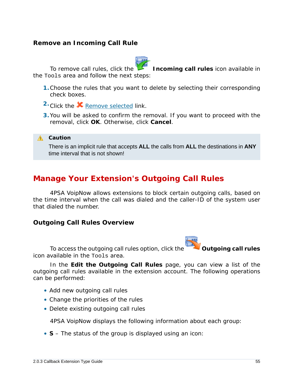## **Remove an Incoming Call Rule**



To remove call rules, click the **Incoming call rules** icon available in the Tools area and follow the next steps:

- **1.**Choose the rules that you want to delete by selecting their corresponding check boxes.
- 2. Click the **X** Remove selected link.
- **3.**You will be asked to confirm the removal. If you want to proceed with the removal, click **OK**. Otherwise, click **Cancel**.

**A** Caution

There is an implicit rule that accepts **ALL** the calls from **ALL** the destinations in **ANY** time interval that is not shown!

## **Manage Your Extension's Outgoing Call Rules**

4PSA VoipNow allows extensions to block certain outgoing calls, based on the time interval when the call was dialed and the caller-ID of the system user that dialed the number.

**Outgoing Call Rules Overview**



To access the outgoing call rules option, click the **Outgoing call rules** 

icon available in the Tools area.

In the **Edit the Outgoing Call Rules** page, you can view a list of the outgoing call rules available in the extension account. The following operations can be performed:

- Add new outgoing call rules
- Change the priorities of the rules
- Delete existing outgoing call rules

4PSA VoipNow displays the following information about each group:

• **S** – The status of the group is displayed using an icon: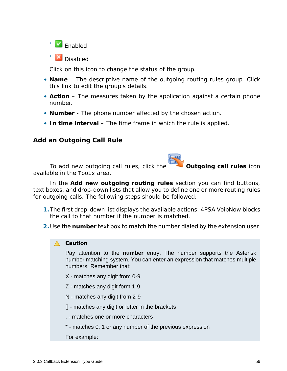

◦ **X** Disabled

Click on this icon to change the status of the group.

- **Name** The descriptive name of the outgoing routing rules group. Click this link to edit the group's details.
- **Action** The measures taken by the application against a certain phone number.
- **Number** The phone number affected by the chosen action.
- **In time interval** The time frame in which the rule is applied.

## **Add an Outgoing Call Rule**

To add new outgoing call rules, click the **Outgoing call rules** icon available in the Tools area.

In the **Add new outgoing routing rules** section you can find buttons, text boxes, and drop-down lists that allow you to define one or more routing rules for outgoing calls. The following steps should be followed:

- **1.**The first drop-down list displays the available actions. 4PSA VoipNow blocks the call to that number if the number is matched.
- **2.**Use the **number** text box to match the number dialed by the extension user.

## **A** Caution

Pay attention to the **number** entry. The number supports the Asterisk number matching system. You can enter an expression that matches multiple numbers. Remember that:

- X matches any digit from 0-9
- Z matches any digit form 1-9
- N matches any digit from 2-9
- [] matches any digit or letter in the brackets
- . matches one or more characters
- \* matches 0, 1 or any number of the previous expression
- For example: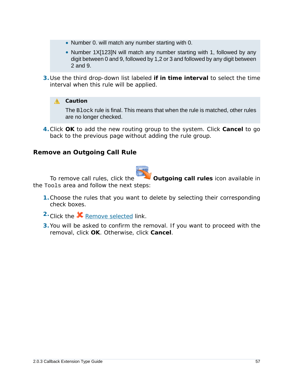- Number 0. will match any number starting with 0.
- Number 1X[123]N will match any number starting with 1, followed by any digit between 0 and 9, followed by 1,2 or 3 and followed by any digit between 2 and 9.
- **3.**Use the third drop-down list labeled **if in time interval** to select the time interval when this rule will be applied.

## A Caution

The Block rule is final. This means that when the rule is matched, other rules are no longer checked.

**4.**Click **OK** to add the new routing group to the system. Click **Cancel** to go back to the previous page without adding the rule group.

**Remove an Outgoing Call Rule**



To remove call rules, click the **Outgoing call rules** icon available in the Tools area and follow the next steps:

- **1.**Choose the rules that you want to delete by selecting their corresponding check boxes.
- 2. Click the **X** Remove selected link.
- **3.**You will be asked to confirm the removal. If you want to proceed with the removal, click **OK**. Otherwise, click **Cancel**.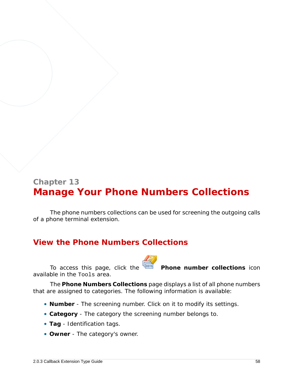# **Chapter 13 Manage Your Phone Numbers Collections**

The phone numbers collections can be used for screening the outgoing calls of a phone terminal extension.

## **View the Phone Numbers Collections**

To access this page, click the **Phone number collections** icon available in the Tools area.

The **Phone Numbers Collections** page displays a list of all phone numbers that are assigned to categories. The following information is available:

- **Number** The screening number. Click on it to modify its settings.
- **Category** The category the screening number belongs to.
- **Tag** Identification tags.
- **Owner** The category's owner.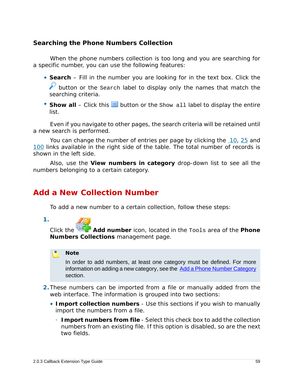**Searching the Phone Numbers Collection**

When the phone numbers collection is too long and you are searching for a specific number, you can use the following features:

- **Search** Fill in the number you are looking for in the text box. Click the button or the search label to display only the names that match the searching criteria.
- Show all Click this  $\equiv$  button or the Show all label to display the entire list.

Even if you navigate to other pages, the search criteria will be retained until a new search is performed.

You can change the number of entries per page by clicking the 10, 25 and 100 links available in the right side of the table. The total number of records is shown in the left side.

<span id="page-58-0"></span>Also, use the **View numbers in category** drop-down list to see all the numbers belonging to a certain category.

## **Add a New Collection Number**

To add a new number to a certain collection, follow these steps:

**1.**

Click the **Add number** icon, located in the Tools area of the **Phone Numbers Collections** management page.

#### r. **Note**

In order to add numbers, at least one category must be defined. For more information on adding a new category, see the [Add a Phone Number Category](#page-61-0) section.

- **2.**These numbers can be imported from a file or manually added from the web interface. The information is grouped into two sections:
	- **Import collection numbers** Use this sections if you wish to manually import the numbers from a file.
		- **Import numbers from file** Select this check box to add the collection numbers from an existing file. If this option is disabled, so are the next two fields.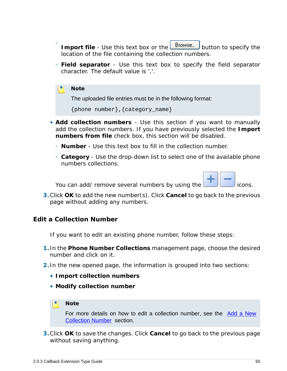- Import file Use this text box or the **Browse...** button to specify the location of the file containing the collection numbers.
- **Field separator** Use this text box to specify the field separator character. The default value is ','.

### **Note**

 $\ddot{\circ}$ 

The uploaded file entries must be in the following format:

```
{phone number},{category_name}
```
- **Add collection numbers** Use this section if you want to manually add the collection numbers. If you have previously selected the **Import numbers from file** check box, this section will be disabled.
	- **Number** Use this text box to fill in the collection number.
	- **Category** Use the drop-down list to select one of the available phone numbers collections.

You can add/ remove several numbers by using the **interest and the constant of the interest** icons.

**3.**Click **OK** to add the new number(s). Click **Cancel** to go back to the previous page without adding any numbers.

**Edit a Collection Number**

If you want to edit an existing phone number, follow these steps:

- **1.** In the **Phone Number Collections** management page, choose the desired number and click on it.
- **2.** In the new opened page, the information is grouped into two sections:
	- **Import collection numbers**
	- **Modify collection number**

### **Note**

For more details on how to edit a collection number, see the [Add a New](#page-58-0) [Collection Number](#page-58-0) section.

**3.**Click **OK** to save the changes. Click **Cancel** to go back to the previous page without saving anything.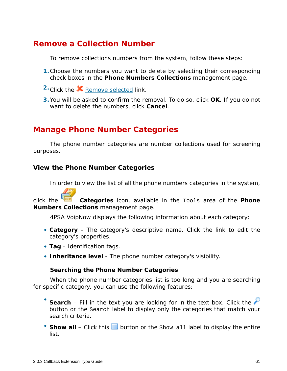## **Remove a Collection Number**

To remove collections numbers from the system, follow these steps:

- **1.**Choose the numbers you want to delete by selecting their corresponding check boxes in the **Phone Numbers Collections** management page.
- 2. Click the **X** Remove selected link.
- **3.**You will be asked to confirm the removal. To do so, click **OK**. If you do not want to delete the numbers, click **Cancel**.

## **Manage Phone Number Categories**

The phone number categories are number collections used for screening purposes.

**View the Phone Number Categories**

In order to view the list of all the phone numbers categories in the system,

click the **Categories** icon, available in the Tools area of the **Phone Numbers Collections** management page.

4PSA VoipNow displays the following information about each category:

- **Category** The category's descriptive name. Click the link to edit the category's properties.
- **Tag** Identification tags.
- **Inheritance level** The phone number category's visibility.

**Searching the Phone Number Categories**

When the phone number categories list is too long and you are searching for specific category, you can use the following features:

- Search – Fill in the text you are looking for in the text box. Click the button or the Search label to display only the categories that match your search criteria.
- Show all Click this  $\equiv$  button or the Show all label to display the entire list.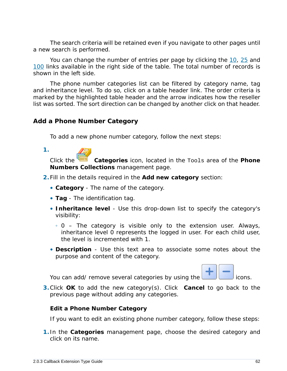The search criteria will be retained even if you navigate to other pages until a new search is performed.

You can change the number of entries per page by clicking the 10, 25 and 100 links available in the right side of the table. The total number of records is shown in the left side.

The phone number categories list can be filtered by category name, tag and inheritance level. To do so, click on a table header link. The order criteria is marked by the highlighted table header and the arrow indicates how the reseller list was sorted. The sort direction can be changed by another click on that header.

<span id="page-61-0"></span>**Add a Phone Number Category**

To add a new phone number category, follow the next steps:

| ٧ |  |
|---|--|
|   |  |

Click the **Categories** icon, located in the Tools area of the **Phone Numbers Collections** management page.

- **2.**Fill in the details required in the **Add new category** section:
	- **Category** The name of the category.
	- **Tag** The identification tag.
	- **Inheritance level** Use this drop-down list to specify the category's visibility:
		- 0 The category is visible only to the extension user. Always, inheritance level 0 represents the logged in user. For each child user, the level is incremented with 1.
	- **Description** Use this text area to associate some notes about the purpose and content of the category.

You can add/ remove several categories by using the **interest and interest in the interest** icons.



**3.**Click **OK** to add the new category(s). Click **Cancel** to go back to the previous page without adding any categories.

**Edit a Phone Number Category**

If you want to edit an existing phone number category, follow these steps:

**1.** In the **Categories** management page, choose the desired category and click on its name.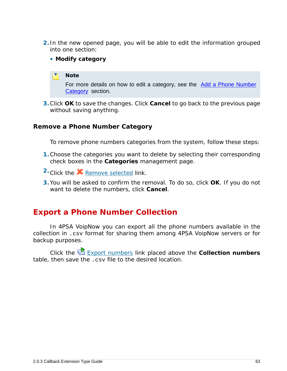- **2.** In the new opened page, you will be able to edit the information grouped into one section:
	- **Modify category**

### **Note**

For more details on how to edit a category, see the [Add a Phone Number](#page-61-0) [Category](#page-61-0) section.

**3.**Click **OK** to save the changes. Click **Cancel** to go back to the previous page without saving anything.

## **Remove a Phone Number Category**

To remove phone numbers categories from the system, follow these steps:

- **1.**Choose the categories you want to delete by selecting their corresponding check boxes in the **Categories** management page.
- 2. Click the **X** Remove selected link.
- **3.**You will be asked to confirm the removal. To do so, click **OK**. If you do not want to delete the numbers, click **Cancel**.

## **Export a Phone Number Collection**

In 4PSA VoipNow you can export all the phone numbers available in the collection in .csv format for sharing them among 4PSA VoipNow servers or for backup purposes.

Click the Export numbers link placed above the **Collection numbers** table, then save the .csv file to the desired location.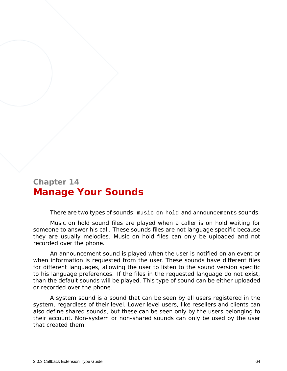# **Chapter 14 Manage Your Sounds**

There are two types of sounds: music on hold and announcements sounds.

Music on hold sound files are played when a caller is on hold waiting for someone to answer his call. These sounds files are not language specific because they are usually melodies. Music on hold files can only be uploaded and not recorded over the phone.

An announcement sound is played when the user is notified on an event or when information is requested from the user. These sounds have different files for different languages, allowing the user to listen to the sound version specific to his language preferences. If the files in the requested language do not exist, than the default sounds will be played. This type of sound can be either uploaded or recorded over the phone.

A system sound is a sound that can be seen by all users registered in the system, regardless of their level. Lower level users, like resellers and clients can also define shared sounds, but these can be seen only by the users belonging to their account. Non-system or non-shared sounds can only be used by the user that created them.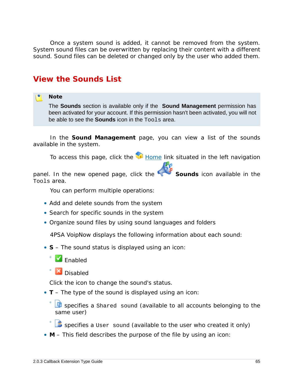Once a system sound is added, it cannot be removed from the system. System sound files can be overwritten by replacing their content with a different sound. Sound files can be deleted or changed only by the user who added them.

## **View the Sounds List**

### **Note**

The **Sounds** section is available only if the **Sound Management** permission has been activated for your account. If this permission hasn't been activated, you will not be able to see the **Sounds** icon in the Tools area.

In the **Sound Management** page, you can view a list of the sounds available in the system.

To access this page, click the  $\blacksquare$  Home link situated in the left navigation

panel. In the new opened page, click the **Sounds** icon available in the Tools area.

You can perform multiple operations:

- Add and delete sounds from the system
- Search for specific sounds in the system
- Organize sound files by using sound languages and folders

4PSA VoipNow displays the following information about each sound:

- **S** The sound status is displayed using an icon:
	- $\sqrt{\ }$  Enabled

◦

◦

**X** Disabled

Click the icon to change the sound's status.

• **T** – The type of the sound is displayed using an icon:

◦ specifies a Shared sound (available to all accounts belonging to the same user)

specifies a User sound (available to the user who created it only)

• **M** – This field describes the purpose of the file by using an icon: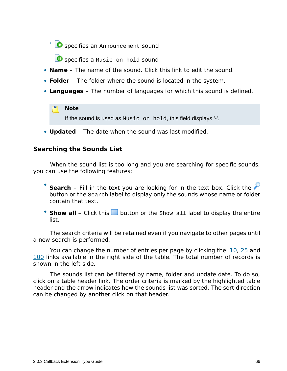◦ **O** specifies an Announcement sound

- **O** specifies a Music on hold sound
- **Name** The name of the sound. Click this link to edit the sound.
- **Folder** The folder where the sound is located in the system.
- **Languages** The number of languages for which this sound is defined.

## **Note**

If the sound is used as Music on hold, this field displays '-'.

• **Updated** – The date when the sound was last modified.

## **Searching the Sounds List**

When the sound list is too long and you are searching for specific sounds, you can use the following features:

- Search – Fill in the text you are looking for in the text box. Click the button or the Search label to display only the sounds whose name or folder contain that text.
- Show all Click this **in** button or the Show all label to display the entire list.

The search criteria will be retained even if you navigate to other pages until a new search is performed.

You can change the number of entries per page by clicking the 10, 25 and 100 links available in the right side of the table. The total number of records is shown in the left side.

The sounds list can be filtered by name, folder and update date. To do so, click on a table header link. The order criteria is marked by the highlighted table header and the arrow indicates how the sounds list was sorted. The sort direction can be changed by another click on that header.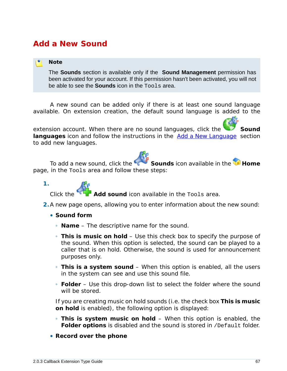## **Add a New Sound**

### **Note**

The **Sounds** section is available only if the **Sound Management** permission has been activated for your account. If this permission hasn't been activated, you will not be able to see the **Sounds** icon in the Tools area.

A new sound can be added only if there is at least one sound language available. On extension creation, the default sound language is added to the

extension account. When there are no sound languages, click the **Sound** languages icon and follow the instructions in the **Add a New Language** section to add new languages.

To add a new sound, click the **Sounds** icon available in the **H** Home page, in the Tools area and follow these steps:



Add sound icon available in the Tools area.

- **2.**A new page opens, allowing you to enter information about the new sound:
	- **Sound form**
		- **Name** The descriptive name for the sound.
		- **This is music on hold** Use this check box to specify the purpose of the sound. When this option is selected, the sound can be played to a caller that is on hold. Otherwise, the sound is used for announcement purposes only.
		- **This is a system sound** When this option is enabled, all the users in the system can see and use this sound file.
		- **Folder** Use this drop-down list to select the folder where the sound will be stored.

If you are creating music on hold sounds (i.e. the check box **This is music on hold** is enabled), the following option is displayed:

- **This is system music on hold** When this option is enabled, the **Folder options** is disabled and the sound is stored in /Default folder.
- **Record over the phone**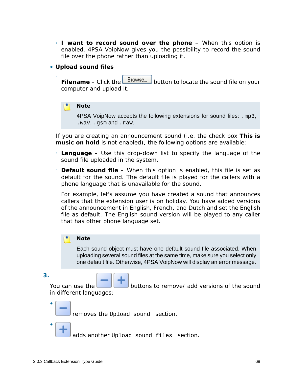- **I want to record sound over the phone** When this option is enabled, 4PSA VoipNow gives you the possibility to record the sound file over the phone rather than uploading it.
- **Upload sound files**
	- Filename – Click the **Browse...** button to locate the sound file on your computer and upload it.

**Note**

4PSA VoipNow accepts the following extensions for sound files: .mp3, .wav, .gsm and .raw.

If you are creating an announcement sound (i.e. the check box **This is music on hold** is not enabled), the following options are available:

- **Language** Use this drop-down list to specify the language of the sound file uploaded in the system.
- **Default sound file** When this option is enabled, this file is set as default for the sound. The default file is played for the callers with a phone language that is unavailable for the sound.

For example, let's assume you have created a sound that announces callers that the extension user is on holiday. You have added versions of the announcement in English, French, and Dutch and set the English file as default. The English sound version will be played to any caller that has other phone language set.

### **Note**

Each sound object must have one default sound file associated. When uploading several sound files at the same time, make sure you select only one default file. Otherwise, 4PSA VoipNow will display an error message.

**3.**

•

•

You can use the **buttons to remove/** add versions of the sound in different languages:

removes the Upload sound section.

adds another Upload sound files section.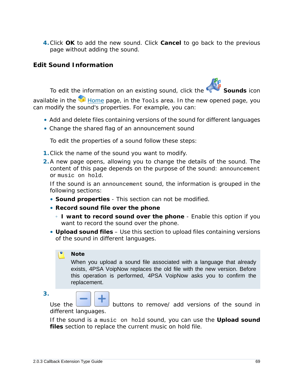**4.**Click **OK** to add the new sound. Click **Cancel** to go back to the previous page without adding the sound.

**Edit Sound Information**

To edit the information on an existing sound, click the **Sounds** icon

available in the  $\blacksquare$  Home page, in the  $\texttt{Tools}$  area. In the new opened page, you can modify the sound's properties. For example, you can:

- Add and delete files containing versions of the sound for different languages
- Change the shared flag of an announcement sound

To edit the properties of a sound follow these steps:

- **1.**Click the name of the sound you want to modify.
- **2.**A new page opens, allowing you to change the details of the sound. The content of this page depends on the purpose of the sound: announcement or music on hold.

If the sound is an announcement sound, the information is grouped in the following sections:

- **Sound properties** This section can not be modified.
- **Record sound file over the phone**
	- **I want to record sound over the phone** Enable this option if you want to record the sound over the phone.
- **Upload sound files** Use this section to upload files containing versions of the sound in different languages.

## **Note**

When you upload a sound file associated with a language that already exists, 4PSA VoipNow replaces the old file with the new version. Before this operation is performed, 4PSA VoipNow asks you to confirm the replacement.

**3.**

Use the **buttons to remove** add versions of the sound in different languages.

If the sound is a music on hold sound, you can use the **Upload sound files** section to replace the current music on hold file.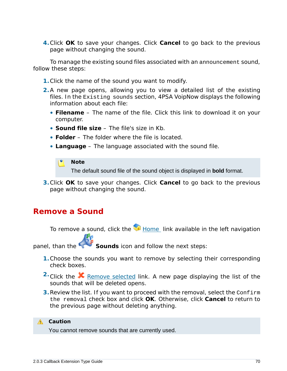**4.**Click **OK** to save your changes. Click **Cancel** to go back to the previous page without changing the sound.

To manage the existing sound files associated with an announcement sound, follow these steps:

- **1.**Click the name of the sound you want to modify.
- **2.**A new page opens, allowing you to view a detailed list of the existing files. In the Existing sounds section, 4PSA VoipNow displays the following information about each file:
	- **Filename** The name of the file. Click this link to download it on your computer.
	- **Sound file size** The file's size in Kb.
	- **Folder** The folder where the file is located.
	- **Language** The language associated with the sound file.

#### r en **Note**

The default sound file of the sound object is displayed in **bold** format.

**3.**Click **OK** to save your changes. Click **Cancel** to go back to the previous page without changing the sound.

## **Remove a Sound**

To remove a sound, click the  $\blacksquare$  Home link available in the left navigation

panel, than the **Sounds** icon and follow the next steps:

- **1.**Choose the sounds you want to remove by selecting their corresponding check boxes.
- <sup>2</sup> Click the **X** Remove selected link. A new page displaying the list of the sounds that will be deleted opens.
- **3.**Review the list. If you want to proceed with the removal, select the Confirm the removal check box and click **OK**. Otherwise, click **Cancel** to return to the previous page without deleting anything.

### **△** Caution

You cannot remove sounds that are currently used.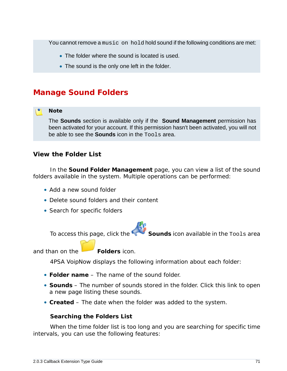You cannot remove a music on hold hold sound if the following conditions are met:

- The folder where the sound is located is used.
- The sound is the only one left in the folder.

## **Manage Sound Folders**

### **Note**

The **Sounds** section is available only if the **Sound Management** permission has been activated for your account. If this permission hasn't been activated, you will not be able to see the **Sounds** icon in the Tools area.

**View the Folder List**

In the **Sound Folder Management** page, you can view a list of the sound folders available in the system. Multiple operations can be performed:

- Add a new sound folder
- Delete sound folders and their content
- Search for specific folders

To access this page, click the **Sounds** icon available in the Tools area

and than on the **Folders** icon.

4PSA VoipNow displays the following information about each folder:

- **Folder name** The name of the sound folder.
- **Sounds** The number of sounds stored in the folder. Click this link to open a new page listing these sounds.
- **Created** The date when the folder was added to the system.

**Searching the Folders List**

When the time folder list is too long and you are searching for specific time intervals, you can use the following features: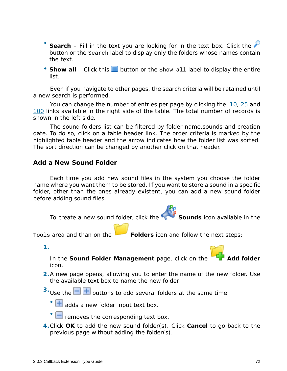- Search – Fill in the text you are looking for in the text box. Click the button or the Search label to display only the folders whose names contain the text.
- Show all Click this  $\equiv$  button or the Show all label to display the entire list.

Even if you navigate to other pages, the search criteria will be retained until a new search is performed.

You can change the number of entries per page by clicking the 10, 25 and 100 links available in the right side of the table. The total number of records is shown in the left side.

The sound folders list can be filtered by folder name,sounds and creation date. To do so, click on a table header link. The order criteria is marked by the highlighted table header and the arrow indicates how the folder list was sorted. The sort direction can be changed by another click on that header.

## **Add a New Sound Folder**

Each time you add new sound files in the system you choose the folder name where you want them to be stored. If you want to store a sound in a specific folder, other than the ones already existent, you can add a new sound folder before adding sound files.

To create a new sound folder, click the **Sounds** icon available in the

Tools area and than on the **Folders** icon and follow the next steps:

**1.**

In the Sound Folder Management page, click on the icon.

**2.**A new page opens, allowing you to enter the name of the new folder. Use the available text box to name the new folder.

<sup>3.</sup> Use the  $\Box$  **b** buttons to add several folders at the same time:

 $\cdot$   $\blacksquare$  adds a new folder input text box.

- $\Box$  removes the corresponding text box.
- **4.**Click **OK** to add the new sound folder(s). Click **Cancel** to go back to the previous page without adding the folder(s).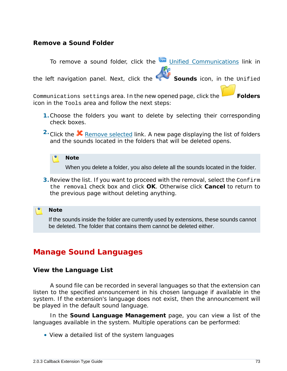## **Remove a Sound Folder**

To remove a sound folder, click the Unified Communications link in the left navigation panel. Next, click the **Sounds** icon, in the Unified Communications settings area. In the new opened page, click the **Folders** icon in the Tools area and follow the next steps:

- **1.**Choose the folders you want to delete by selecting their corresponding check boxes.
- <sup>2</sup> Click the **X** Remove selected link. A new page displaying the list of folders and the sounds located in the folders that will be deleted opens.

**Note** When you delete a folder, you also delete all the sounds located in the folder.

**3.**Review the list. If you want to proceed with the removal, select the Confirm the removal check box and click **OK**. Otherwise click **Cancel** to return to the previous page without deleting anything.

**Note**

If the sounds inside the folder are currently used by extensions, these sounds cannot be deleted. The folder that contains them cannot be deleted either.

# **Manage Sound Languages**

**View the Language List**

A sound file can be recorded in several languages so that the extension can listen to the specified announcement in his chosen language if available in the system. If the extension's language does not exist, then the announcement will be played in the default sound language.

In the **Sound Language Management** page, you can view a list of the languages available in the system. Multiple operations can be performed:

• View a detailed list of the system languages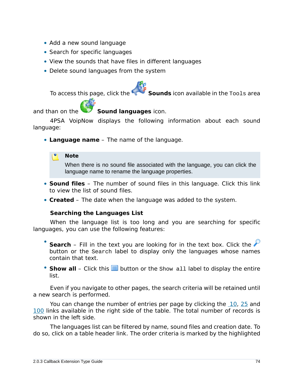- Add a new sound language
- Search for specific languages
- View the sounds that have files in different languages
- Delete sound languages from the system

To access this page, click the **Sounds** icon available in the Tools area

and than on the **Sound languages** icon.

4PSA VoipNow displays the following information about each sound language:

• **Language name** – The name of the language.

**Note**

When there is no sound file associated with the language, you can click the language name to rename the language properties.

- **Sound files** The number of sound files in this language. Click this link to view the list of sound files.
- **Created** The date when the language was added to the system.

**Searching the Languages List**

When the language list is too long and you are searching for specific languages, you can use the following features:

- Search – Fill in the text you are looking for in the text box. Click the button or the Search label to display only the languages whose names contain that text.
- Show all Click this  $\equiv$  button or the Show all label to display the entire list.

Even if you navigate to other pages, the search criteria will be retained until a new search is performed.

You can change the number of entries per page by clicking the 10, 25 and 100 links available in the right side of the table. The total number of records is shown in the left side.

The languages list can be filtered by name, sound files and creation date. To do so, click on a table header link. The order criteria is marked by the highlighted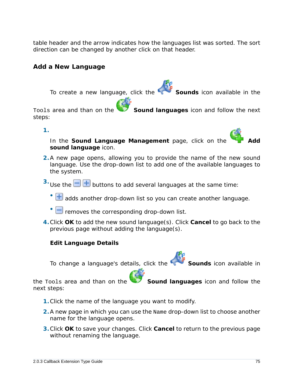table header and the arrow indicates how the languages list was sorted. The sort direction can be changed by another click on that header.

**Add a New Language**

To create a new language, click the **Sounds** icon available in the

Tools area and than on the **Sound languages** icon and follow the next steps:

**1.**

In the Sound Language Management page, click on the **sound language** icon.

- **2.**A new page opens, allowing you to provide the name of the new sound language. Use the drop-down list to add one of the available languages to the system.
- <sup>3.</sup> Use the  $\Box$   $\Box$  buttons to add several languages at the same time:
	- $\cdot$   $\textcolor{red}{\textbf{+}}$  adds another drop-down list so you can create another language.
	- $\Box$  removes the corresponding drop-down list.
- **4.**Click **OK** to add the new sound language(s). Click **Cancel** to go back to the previous page without adding the language(s).

**Edit Language Details**

To change a language's details, click the **Sounds** icon available in

the Tools area and than on the **Sound languages** icon and follow the next steps:

- **1.**Click the name of the language you want to modify.
- **2.**A new page in which you can use the Name drop-down list to choose another name for the language opens.
- **3.**Click **OK** to save your changes. Click **Cancel** to return to the previous page without renaming the language.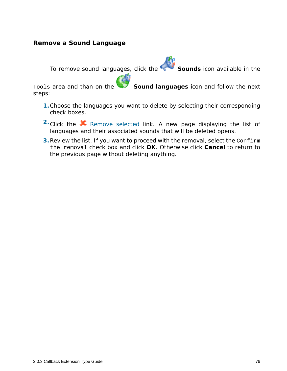# **Remove a Sound Language**

To remove sound languages, click the **Sounds** icon available in the

Tools area and than on the **Sound languages** icon and follow the next steps:

- **1.**Choose the languages you want to delete by selecting their corresponding check boxes.
- <sup>2</sup>. Click the **K** Remove selected link. A new page displaying the list of languages and their associated sounds that will be deleted opens.
- **3.**Review the list. If you want to proceed with the removal, select the Confirm the removal check box and click **OK**. Otherwise click **Cancel** to return to the previous page without deleting anything.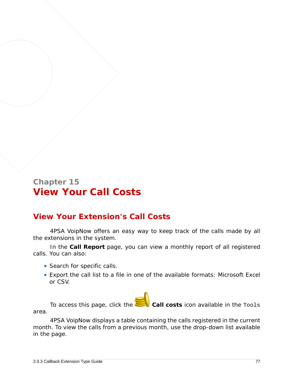# **Chapter 15 View Your Call Costs**

# **View Your Extension's Call Costs**

4PSA VoipNow offers an easy way to keep track of the calls made by all the extensions in the system.

In the **Call Report** page, you can view a monthly report of all registered calls. You can also:

- Search for specific calls.
- Export the call list to a file in one of the available formats: Microsoft Excel or CSV.

To access this page, click the **Call costs** icon available in the Tools area.

4PSA VoipNow displays a table containing the calls registered in the current month. To view the calls from a previous month, use the drop-down list available in the page.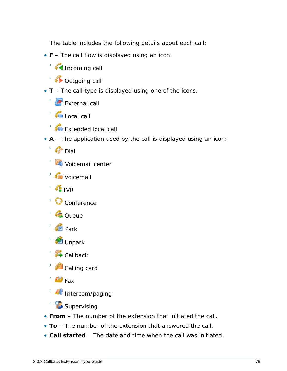The table includes the following details about each call:

- **F** The call flow is displayed using an icon:
	- Incoming call
	- Outgoing call
- **T** The call type is displayed using one of the icons:
	- **External call**
	- G Local call
	- **Cu** Extended local call
- **A** The application used by the call is displayed using an icon:
	- Dial
	- Voicemail center
	- Voicemail
	- IVR
	- Conference
	- Queue
	- Park
	- Unpark
	- **Callback**
	- Calling card
	- $\mathbb{F}$  Fax
	- Intercom/paging
	- **B** Supervising
- **From** The number of the extension that initiated the call.
- **To** The number of the extension that answered the call.
- **Call started** The date and time when the call was initiated.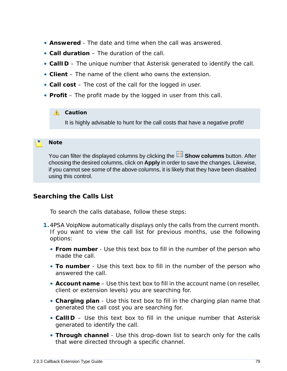- **Answered** The date and time when the call was answered.
- **Call duration** The duration of the call.
- **CallID** The unique number that Asterisk generated to identify the call.
- **Client** The name of the client who owns the extension.
- **Call cost** The cost of the call for the logged in user.
- **Profit** The profit made by the logged in user from this call.

#### **A** Caution

It is highly advisable to hunt for the call costs that have a negative profit!

#### **Note**

You can filter the displayed columns by clicking the **BE Show columns** button. After choosing the desired columns, click on **Apply** in order to save the changes. Likewise, if you cannot see some of the above columns, it is likely that they have been disabled using this control.

## **Searching the Calls List**

To search the calls database, follow these steps:

- **1.**4PSA VoipNow automatically displays only the calls from the current month. If you want to view the call list for previous months, use the following options:
	- **From number** Use this text box to fill in the number of the person who made the call.
	- **To number** Use this text box to fill in the number of the person who answered the call.
	- **Account name** Use this text box to fill in the account name (on reseller, client or extension levels) you are searching for.
	- **Charging plan**  Use this text box to fill in the charging plan name that generated the call cost you are searching for.
	- **CallID** Use this text box to fill in the unique number that Asterisk generated to identify the call.
	- **Through channel** Use this drop-down list to search only for the calls that were directed through a specific channel.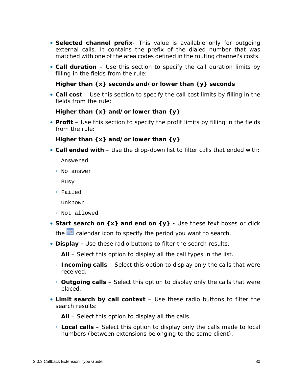- **Selected channel prefix** This value is available only for outgoing external calls. It contains the prefix of the dialed number that was matched with one of the area codes defined in the routing channel's costs.
- **Call duration** Use this section to specify the call duration limits by filling in the fields from the rule:

**Higher than {x} seconds and/or lower than {y} seconds**

• **Call cost** – Use this section to specify the call cost limits by filling in the fields from the rule:

```
Higher than {x} and/or lower than {y}
```
• **Profit** – Use this section to specify the profit limits by filling in the fields from the rule:

**Higher than {x} and/or lower than {y}**

- **Call ended with** Use the drop-down list to filter calls that ended with:
	- Answered
	- No answer
	- Busy
	- Failed
	- Unknown
	- Not allowed
- Start search on {x} and end on {y} Use these text boxes or click the  $\equiv$  calendar icon to specify the period you want to search.
- **Display -** Use these radio buttons to filter the search results:
	- **All** Select this option to display all the call types in the list.
	- **Incoming calls** Select this option to display only the calls that were received.
	- **Outgoing calls** Select this option to display only the calls that were placed.
- **Limit search by call context** Use these radio buttons to filter the search results:
	- **All** Select this option to display all the calls.
	- **Local calls** Select this option to display only the calls made to local numbers (between extensions belonging to the same client).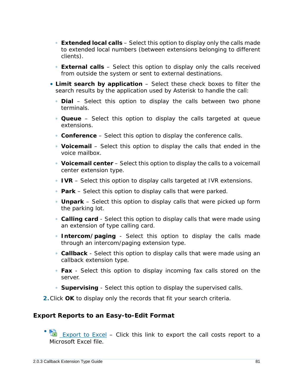- **Extended local calls** Select this option to display only the calls made to extended local numbers (between extensions belonging to different clients).
- **External calls** Select this option to display only the calls received from outside the system or sent to external destinations.
- **Limit search by application** Select these check boxes to filter the search results by the application used by Asterisk to handle the call:
	- **Dial** Select this option to display the calls between two phone terminals.
	- **Queue** Select this option to display the calls targeted at queue extensions.
	- **Conference** Select this option to display the conference calls.
	- **Voicemail** Select this option to display the calls that ended in the voice mailbox.
	- **Voicemail center** Select this option to display the calls to a voicemail center extension type.
	- **IVR** Select this option to display calls targeted at IVR extensions.
	- **Park** Select this option to display calls that were parked.
	- **Unpark** Select this option to display calls that were picked up form the parking lot.
	- **Calling card** Select this option to display calls that were made using an extension of type calling card.
	- **Intercom/paging** Select this option to display the calls made through an intercom/paging extension type.
	- **Callback** Select this option to display calls that were made using an callback extension type.
	- **Fax** Select this option to display incoming fax calls stored on the server.
	- **Supervising** Select this option to display the supervised calls.
- **2.**Click **OK** to display only the records that fit your search criteria.

### **Export Reports to an Easy-to-Edit Format**

• **EXPORT CONTER 15 EXPORT TO EXCEL – Click this link to export the call costs report to a** Microsoft Excel file.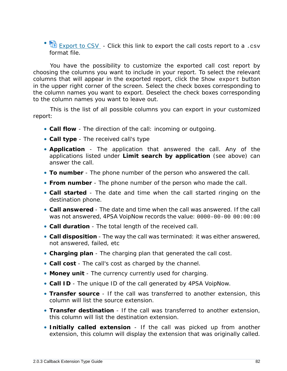• **B** Export to CSV - Click this link to export the call costs report to a .csv format file.

You have the possibility to customize the exported call cost report by choosing the columns you want to include in your report. To select the relevant columns that will appear in the exported report, click the Show export button in the upper right corner of the screen. Select the check boxes corresponding to the column names you want to export. Deselect the check boxes corresponding to the column names you want to leave out.

This is the list of all possible columns you can export in your customized report:

- **Call flow** The direction of the call: incoming or outgoing.
- **Call type** The received call's type
- **Application** The application that answered the call. Any of the applications listed under **Limit search by application** (see above) can answer the call.
- **To number** The phone number of the person who answered the call.
- **From number** The phone number of the person who made the call.
- **Call started** The date and time when the call started ringing on the destination phone.
- **Call answered** The date and time when the call was answered. If the call was not answered, 4PSA VoipNow records the value: 0000-00-00 00:00:00
- **Call duration** The total length of the received call.
- **Call disposition** The way the call was terminated: it was either answered, not answered, failed, etc
- **Charging plan** The charging plan that generated the call cost.
- **Call cost** The call's cost as charged by the channel.
- **Money unit** The currency currently used for charging.
- **Call ID** The unique ID of the call generated by 4PSA VoipNow.
- **Transfer source** If the call was transferred to another extension, this column will list the source extension.
- **Transfer destination** If the call was transferred to another extension, this column will list the destination extension.
- **Initially called extension** If the call was picked up from another extension, this column will display the extension that was originally called.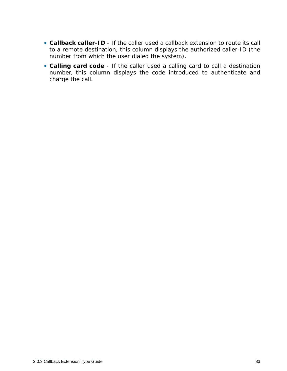- **Callback caller-ID** If the caller used a callback extension to route its call to a remote destination, this column displays the authorized caller-ID (the number from which the user dialed the system).
- **Calling card code** If the caller used a calling card to call a destination number, this column displays the code introduced to authenticate and charge the call.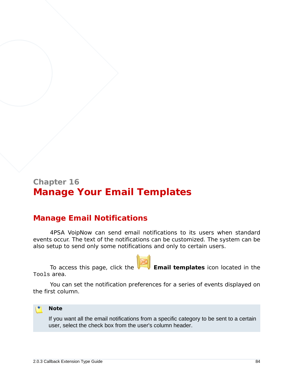# **Chapter 16 Manage Your Email Templates**

# **Manage Email Notifications**

4PSA VoipNow can send email notifications to its users when standard events occur. The text of the notifications can be customized. The system can be also setup to send only some notifications and only to certain users.

To access this page, click the **Email templates** icon located in the Tools area.

You can set the notification preferences for a series of events displayed on the first column.



If you want all the email notifications from a specific category to be sent to a certain user, select the check box from the user's column header.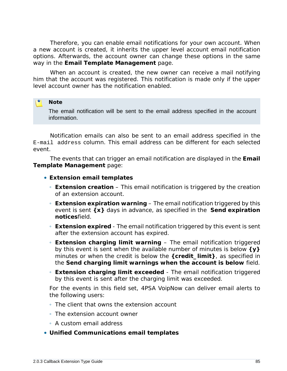Therefore, you can enable email notifications for your own account. When a new account is created, it inherits the upper level account email notification options. Afterwards, the account owner can change these options in the same way in the **Email Template Management** page.

When an account is created, the new owner can receive a mail notifying him that the account was registered. This notification is made only if the upper level account owner has the notification enabled.

#### r. **Note**

The email notification will be sent to the email address specified in the account information.

Notification emails can also be sent to an email address specified in the E-mail address column. This email address can be different for each selected event.

The events that can trigger an email notification are displayed in the **Email Template Management** page:

- **Extension email templates**
	- **Extension creation** This email notification is triggered by the creation of an extension account.
	- **Extension expiration warning** The email notification triggered by this event is sent **{x}** days in advance, as specified in the **Send expiration notices**field.
	- **Extension expired** The email notification triggered by this event is sent after the extension account has expired.
	- **Extension charging limit warning** The email notification triggered by this event is sent when the available number of minutes is below **{y}** minutes or when the credit is below the **{credit\_limit}**, as specified in the **Send charging limit warnings when the account is below** field.
	- **Extension charging limit exceeded** The email notification triggered by this event is sent after the charging limit was exceeded.

For the events in this field set, 4PSA VoipNow can deliver email alerts to the following users:

- The client that owns the extension account
- The extension account owner
- A custom email address
- **Unified Communications email templates**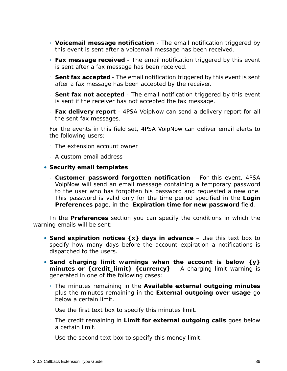- **Voicemail message notification** The email notification triggered by this event is sent after a voicemail message has been received.
- **Fax message received** The email notification triggered by this event is sent after a fax message has been received.
- **Sent fax accepted** The email notification triggered by this event is sent after a fax message has been accepted by the receiver.
- **Sent fax not accepted** The email notification triggered by this event is sent if the receiver has not accepted the fax message.
- **Fax delivery report** 4PSA VoipNow can send a delivery report for all the sent fax messages.

For the events in this field set, 4PSA VoipNow can deliver email alerts to the following users:

- The extension account owner
- A custom email address
- **Security email templates**
	- **Customer password forgotten notification** For this event, 4PSA VoipNow will send an email message containing a temporary password to the user who has forgotten his password and requested a new one. This password is valid only for the time period specified in the **Login Preferences** page, in the **Expiration time for new password** field.

In the **Preferences** section you can specify the conditions in which the warning emails will be sent:

- **Send expiration notices {x} days in advance** Use this text box to specify how many days before the account expiration a notifications is dispatched to the users.
- **Send charging limit warnings when the account is below {y} minutes or {credit\_limit} {currency}** – A charging limit warning is generated in one of the following cases:
	- The minutes remaining in the **Available external outgoing minutes** plus the minutes remaining in the **External outgoing over usage** go below a certain limit.

Use the first text box to specify this minutes limit.

◦ The credit remaining in **Limit for external outgoing calls** goes below a certain limit.

Use the second text box to specify this money limit.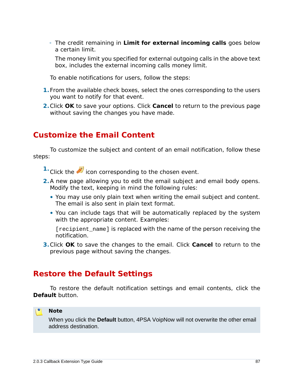◦ The credit remaining in **Limit for external incoming calls** goes below a certain limit.

The money limit you specified for external outgoing calls in the above text box, includes the external incoming calls money limit.

To enable notifications for users, follow the steps:

- **1.**From the available check boxes, select the ones corresponding to the users you want to notify for that event.
- **2.**Click **OK** to save your options. Click **Cancel** to return to the previous page without saving the changes you have made.

# **Customize the Email Content**

To customize the subject and content of an email notification, follow these steps:

- <sup>1.</sup> Click the **i**con corresponding to the chosen event.
- **2.**A new page allowing you to edit the email subject and email body opens. Modify the text, keeping in mind the following rules:
	- You may use only plain text when writing the email subject and content. The email is also sent in plain text format.
	- You can include tags that will be automatically replaced by the system with the appropriate content. Examples:

[recipient\_name] is replaced with the name of the person receiving the notification.

**3.**Click **OK** to save the changes to the email. Click **Cancel** to return to the previous page without saving the changes.

# **Restore the Default Settings**

To restore the default notification settings and email contents, click the **Default** button.

#### ro. **Note**

When you click the **Default** button, 4PSA VoipNow will not overwrite the other email address destination.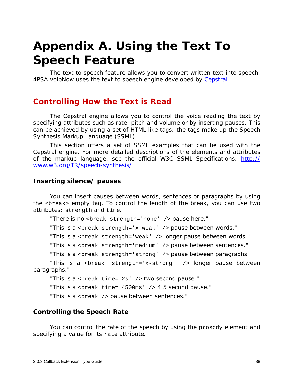# **Appendix A. Using the Text To Speech Feature**

The text to speech feature allows you to convert written text into speech. 4PSA VoipNow uses the text to speech engine developed by [Cepstral.](http://www.cepstral.com)

# **Controlling How the Text is Read**

The Cepstral engine allows you to control the voice reading the text by specifying attributes such as rate, pitch and volume or by inserting pauses. This can be achieved by using a set of HTML-like tags; the tags make up the Speech Synthesis Markup Language (SSML).

This section offers a set of SSML examples that can be used with the Cepstral engine. For more detailed descriptions of the elements and attributes of the markup language, see the official W3C SSML Specifications: [http://](http://www.w3.org/TR/speech-synthesis/) [www.w3.org/TR/speech-synthesis/](http://www.w3.org/TR/speech-synthesis/)

### **Inserting silence/ pauses**

You can insert pauses between words, sentences or paragraphs by using the <break> empty tag. To control the length of the break, you can use two attributes: strength and time.

"There is no <break strength='none' /> pause here."

"This is a <br eak  $strength='x-weak'$  /> pause between words."

"This is a <break strength='weak' /> longer pause between words."

"This is a <break strength='medium' /> pause between sentences."

"This is a <break strength='strong' /> pause between paragraphs."

"This is a <break strength='x-strong' /> longer pause between paragraphs."

"This is a <break time='2s' /> two second pause."

"This is a <br eak time='4500ms'  $/$  > 4.5 second pause."

"This is a <break /> pause between sentences."

### **Controlling the Speech Rate**

You can control the rate of the speech by using the prosody element and specifying a value for its rate attribute.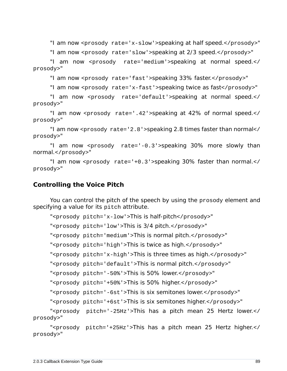"I am now <prosody rate='x-slow'>speaking at half speed.</prosody>"

"I am now <prosody rate='slow'>speaking at 2/3 speed.</prosody>"

"I am now <prosody rate='medium'>speaking at normal speed.</ prosody>"

"I am now <prosody rate='fast'>speaking 33% faster.</prosody>"

"I am now <prosody rate='x-fast'>speaking twice as fast</prosody>"

"I am now <prosody rate='default'>speaking at normal speed.</ prosody>"

"I am now <prosody rate='.42'>speaking at 42% of normal speed.</ prosody>"

"I am now <prosody rate='2.8'>speaking 2.8 times faster than normal</ prosody>"

"I am now <prosody rate='-0.3'>speaking 30% more slowly than normal.</prosody>"

"I am now <prosody rate='+0.3'>speaking 30% faster than normal.</ prosody>"

**Controlling the Voice Pitch**

You can control the pitch of the speech by using the prosody element and specifying a value for its pitch attribute.

"<prosody pitch='x-low'>This is half-pitch</prosody>"

"<prosody pitch='low'>This is 3/4 pitch.</prosody>"

"<prosody pitch='medium'>This is normal pitch.</prosody>"

"<prosody pitch='high'>This is twice as high.</prosody>"

"<prosody pitch='x-high'>This is three times as high.</prosody>"

"<prosody pitch='default'>This is normal pitch.</prosody>"

"<prosody pitch='-50%'>This is 50% lower.</prosody>"

"<prosody pitch='+50%'>This is 50% higher.</prosody>"

"<prosody pitch='-6st'>This is six semitones lower.</prosody>"

"<prosody pitch='+6st'>This is six semitones higher.</prosody>"

"<prosody pitch='-25Hz'>This has a pitch mean 25 Hertz lower.</ prosody>"

"<prosody pitch='+25Hz'>This has a pitch mean 25 Hertz higher.</ prosody>"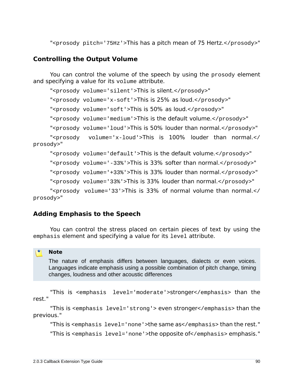"<prosody pitch='75Hz'>This has a pitch mean of 75 Hertz.</prosody>"

# **Controlling the Output Volume**

You can control the volume of the speech by using the prosody element and specifying a value for its volume attribute.

"<prosody volume='silent'>This is silent.</prosody>"

"<prosody volume='x-soft'>This is 25% as loud.</prosody>"

"<prosody volume='soft'>This is 50% as loud.</prosody>"

"<prosody volume='medium'>This is the default volume.</prosody>"

"<prosody volume='loud'>This is 50% louder than normal.</prosody>"

"<prosody volume='x-loud'>This is 100% louder than normal.</ prosody>"

"<prosody volume='default'>This is the default volume.</prosody>"

"<prosody volume='-33%'>This is 33% softer than normal.</prosody>"

"<prosody volume='+33%'>This is 33% louder than normal.</prosody>"

"<prosody volume='33%'>This is 33% louder than normal.</prosody>"

"<prosody volume='33'>This is 33% of normal volume than normal.</ prosody>"

### **Adding Emphasis to the Speech**

You can control the stress placed on certain pieces of text by using the emphasis element and specifying a value for its level attribute.

#### **Note**

The nature of emphasis differs between languages, dialects or even voices. Languages indicate emphasis using a possible combination of pitch change, timing changes, loudness and other acoustic differences

"This is <emphasis level='moderate'>stronger</emphasis> than the rest."

"This is <emphasis level='strong'> even stronger</emphasis> than the previous."

"This is <emphasis level='none'>the same as</emphasis> than the rest."

"This is <emphasis level='none'>the opposite of</emphasis> emphasis."